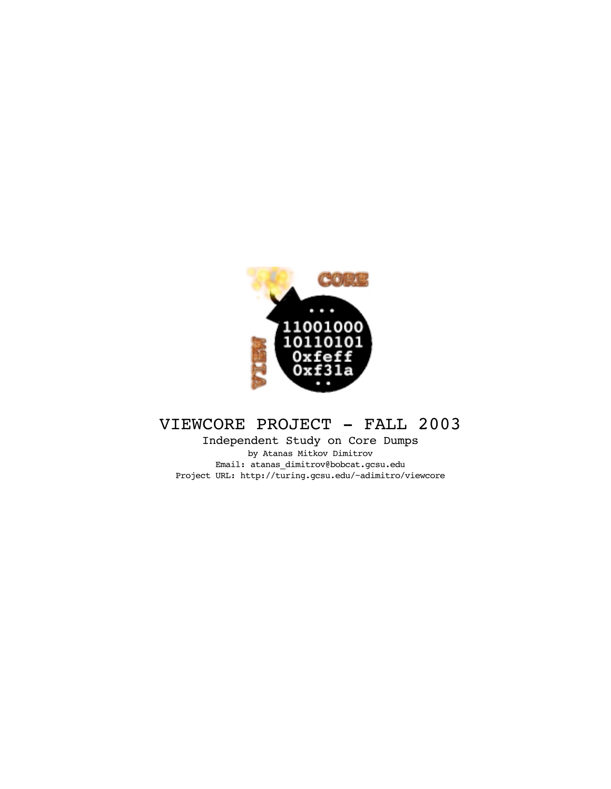

# VIEWCORE PROJECT - FALL 2003

Independent Study on Core Dumps by Atanas Mitkov Dimitrov Email: atanas\_dimitrov@bobcat.gcsu.edu Project URL: http://turing.gcsu.edu/~adimitro/viewcore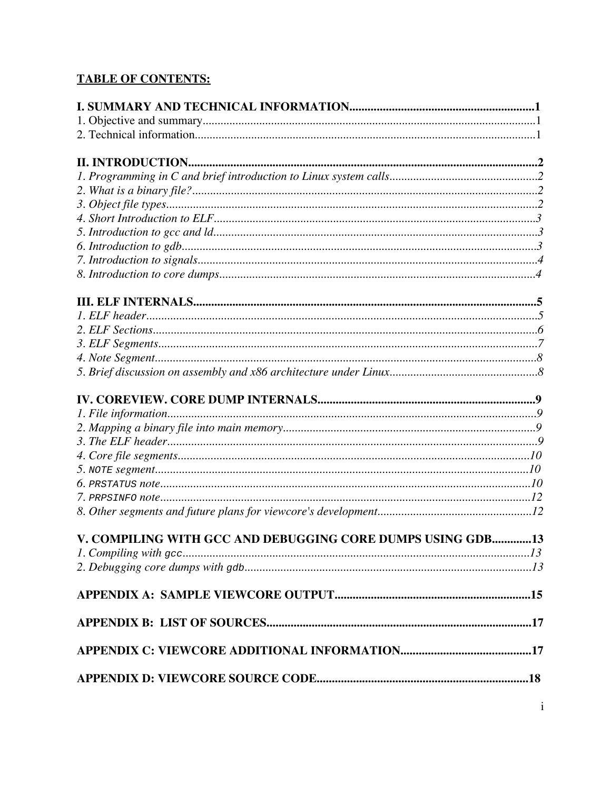# **TABLE OF CONTENTS:**

| V. COMPILING WITH GCC AND DEBUGGING CORE DUMPS USING GDB13 |  |
|------------------------------------------------------------|--|
|                                                            |  |
|                                                            |  |
|                                                            |  |
|                                                            |  |
|                                                            |  |
|                                                            |  |
|                                                            |  |
|                                                            |  |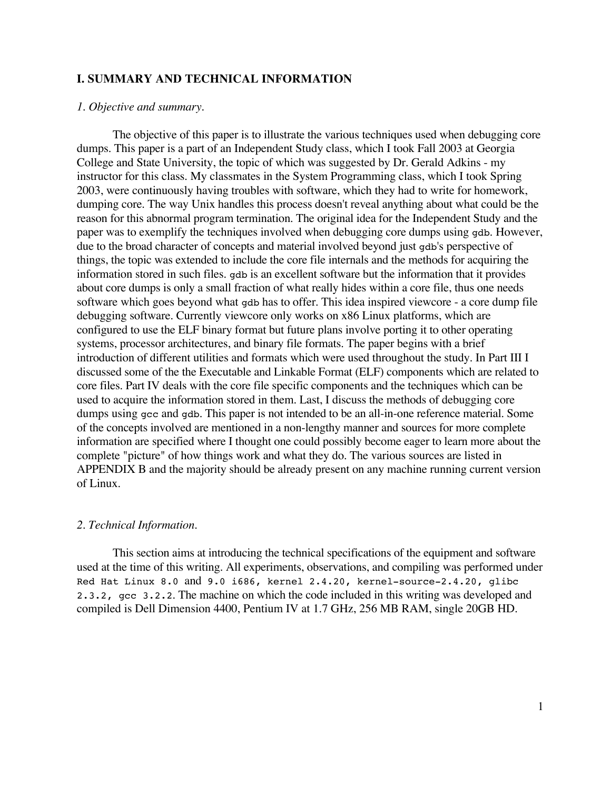## **I. SUMMARY AND TECHNICAL INFORMATION**

## *1. Objective and summary.*

The objective of this paper is to illustrate the various techniques used when debugging core dumps. This paper is a part of an Independent Study class, which I took Fall 2003 at Georgia College and State University, the topic of which was suggested by Dr. Gerald Adkins - my instructor for this class. My classmates in the System Programming class, which I took Spring 2003, were continuously having troubles with software, which they had to write for homework, dumping core. The way Unix handles this process doesn't reveal anything about what could be the reason for this abnormal program termination. The original idea for the Independent Study and the paper was to exemplify the techniques involved when debugging core dumps using gdb. However, due to the broad character of concepts and material involved beyond just gdb's perspective of things, the topic was extended to include the core file internals and the methods for acquiring the information stored in such files. gdb is an excellent software but the information that it provides about core dumps is only a small fraction of what really hides within a core file, thus one needs software which goes beyond what gdb has to offer. This idea inspired viewcore - a core dump file debugging software. Currently viewcore only works on x86 Linux platforms, which are configured to use the ELF binary format but future plans involve porting it to other operating systems, processor architectures, and binary file formats. The paper begins with a brief introduction of different utilities and formats which were used throughout the study. In Part III I discussed some of the the Executable and Linkable Format (ELF) components which are related to core files. Part IV deals with the core file specific components and the techniques which can be used to acquire the information stored in them. Last, I discuss the methods of debugging core dumps using gcc and gdb. This paper is not intended to be an all-in-one reference material. Some of the concepts involved are mentioned in a non-lengthy manner and sources for more complete information are specified where I thought one could possibly become eager to learn more about the complete "picture" of how things work and what they do. The various sources are listed in APPENDIX B and the majority should be already present on any machine running current version of Linux.

## *2. Technical Information.*

This section aims at introducing the technical specifications of the equipment and software used at the time of this writing. All experiments, observations, and compiling was performed under Red Hat Linux 8.0 and 9.0 i686, kernel 2.4.20, kernel-source-2.4.20, glibc 2.3.2, gcc 3.2.2. The machine on which the code included in this writing was developed and compiled is Dell Dimension 4400, Pentium IV at 1.7 GHz, 256 MB RAM, single 20GB HD.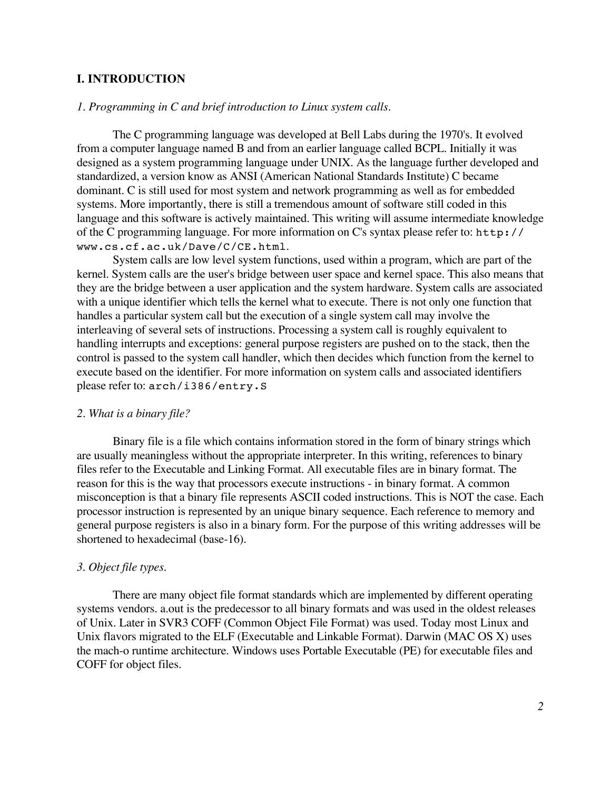## **I. INTRODUCTION**

## *1. Programming in C and brief introduction to Linux system calls.*

The C programming language was developed at Bell Labs during the 1970's. It evolved from a computer language named B and from an earlier language called BCPL. Initially it was designed as a system programming language under UNIX. As the language further developed and standardized, a version know as ANSI (American National Standards Institute) C became dominant. C is still used for most system and network programming as well as for embedded systems. More importantly, there is still a tremendous amount of software still coded in this language and this software is actively maintained. This writing will assume intermediate knowledge of the C programming language. For more information on C's syntax please refer to: http:// www.cs.cf.ac.uk/Dave/C/CE.html.

System calls are low level system functions, used within a program, which are part of the kernel. System calls are the user's bridge between user space and kernel space. This also means that they are the bridge between a user application and the system hardware. System calls are associated with a unique identifier which tells the kernel what to execute. There is not only one function that handles a particular system call but the execution of a single system call may involve the interleaving of several sets of instructions. Processing a system call is roughly equivalent to handling interrupts and exceptions: general purpose registers are pushed on to the stack, then the control is passed to the system call handler, which then decides which function from the kernel to execute based on the identifier. For more information on system calls and associated identifiers please refer to: arch/i386/entry.S

#### *2. What is a binary file?*

Binary file is a file which contains information stored in the form of binary strings which are usually meaningless without the appropriate interpreter. In this writing, references to binary files refer to the Executable and Linking Format. All executable files are in binary format. The reason for this is the way that processors execute instructions - in binary format. A common misconception is that a binary file represents ASCII coded instructions. This is NOT the case. Each processor instruction is represented by an unique binary sequence. Each reference to memory and general purpose registers is also in a binary form. For the purpose of this writing addresses will be shortened to hexadecimal (base-16).

#### *3. Object file types.*

There are many object file format standards which are implemented by different operating systems vendors. a.out is the predecessor to all binary formats and was used in the oldest releases of Unix. Later in SVR3 COFF (Common Object File Format) was used. Today most Linux and Unix flavors migrated to the ELF (Executable and Linkable Format). Darwin (MAC OS X) uses the mach-o runtime architecture. Windows uses Portable Executable (PE) for executable files and COFF for object files.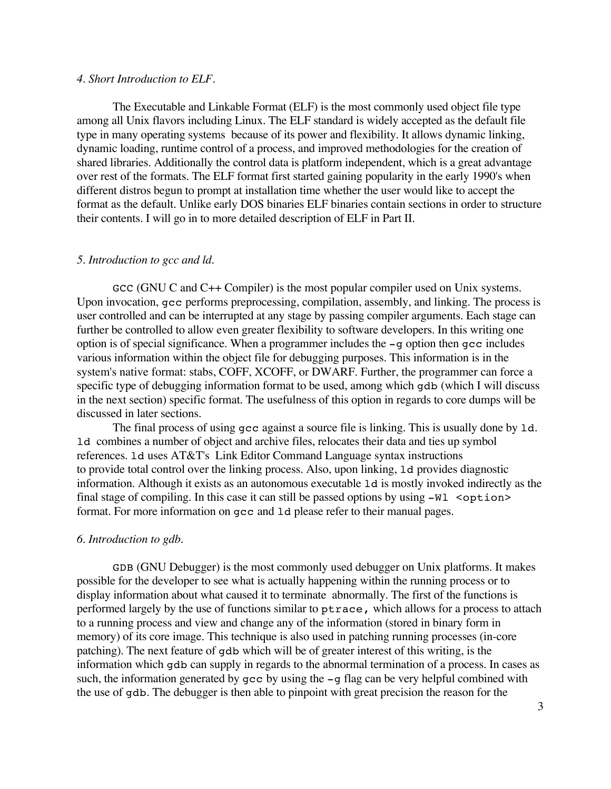#### *4. Short Introduction to ELF.*

The Executable and Linkable Format (ELF) is the most commonly used object file type among all Unix flavors including Linux. The ELF standard is widely accepted as the default file type in many operating systems because of its power and flexibility. It allows dynamic linking, dynamic loading, runtime control of a process, and improved methodologies for the creation of shared libraries. Additionally the control data is platform independent, which is a great advantage over rest of the formats. The ELF format first started gaining popularity in the early 1990's when different distros begun to prompt at installation time whether the user would like to accept the format as the default. Unlike early DOS binaries ELF binaries contain sections in order to structure their contents. I will go in to more detailed description of ELF in Part II.

#### *5. Introduction to gcc and ld.*

 $\mathsf{GCC}$  (GNU C and C++ Compiler) is the most popular compiler used on Unix systems. Upon invocation, gcc performs preprocessing, compilation, assembly, and linking. The process is user controlled and can be interrupted at any stage by passing compiler arguments. Each stage can further be controlled to allow even greater flexibility to software developers. In this writing one option is of special significance. When a programmer includes the -g option then gcc includes various information within the object file for debugging purposes. This information is in the system's native format: stabs, COFF, XCOFF, or DWARF. Further, the programmer can force a specific type of debugging information format to be used, among which gdb (which I will discuss in the next section) specific format. The usefulness of this option in regards to core dumps will be discussed in later sections.

The final process of using gcc against a source file is linking. This is usually done by ld. ld combines a number of object and archive files, relocates their data and ties up symbol references. ld uses AT&T's Link Editor Command Language syntax instructions to provide total control over the linking process. Also, upon linking, ld provides diagnostic information. Although it exists as an autonomous executable ld is mostly invoked indirectly as the final stage of compiling. In this case it can still be passed options by using  $-W1$  <option> format. For more information on gcc and ld please refer to their manual pages.

#### *6. Introduction to gdb.*

GDB (GNU Debugger) is the most commonly used debugger on Unix platforms. It makes possible for the developer to see what is actually happening within the running process or to display information about what caused it to terminate abnormally. The first of the functions is performed largely by the use of functions similar to ptrace, which allows for a process to attach to a running process and view and change any of the information (stored in binary form in memory) of its core image. This technique is also used in patching running processes (in-core patching). The next feature of gdb which will be of greater interest of this writing, is the information which gdb can supply in regards to the abnormal termination of a process. In cases as such, the information generated by  $qcc$  by using the  $-q$  flag can be very helpful combined with the use of gdb. The debugger is then able to pinpoint with great precision the reason for the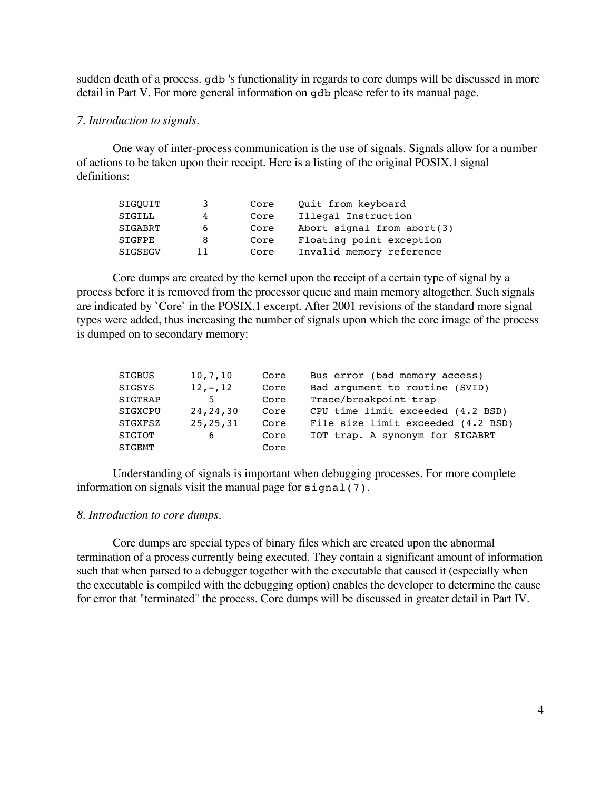sudden death of a process. gdb 's functionality in regards to core dumps will be discussed in more detail in Part V. For more general information on gdb please refer to its manual page.

## *7. Introduction to signals.*

One way of inter-process communication is the use of signals. Signals allow for a number of actions to be taken upon their receipt. Here is a listing of the original POSIX.1 signal definitions:

| SIGOUIT        | 3            | Core | Quit from keyboard           |
|----------------|--------------|------|------------------------------|
| SIGILL         |              | Core | Illegal Instruction          |
| <b>SIGABRT</b> | <sub>6</sub> | Core | Abort signal from $abort(3)$ |
| <b>SIGFPE</b>  | 8            | Core | Floating point exception     |
| <b>SIGSEGV</b> | 11           | Core | Invalid memory reference     |

Core dumps are created by the kernel upon the receipt of a certain type of signal by a process before it is removed from the processor queue and main memory altogether. Such signals are indicated by `Core` in the POSIX.1 excerpt. After 2001 revisions of the standard more signal types were added, thus increasing the number of signals upon which the core image of the process is dumped on to secondary memory:

| SIGBUS  | 10,7,10    | Core | Bus error (bad memory access)      |
|---------|------------|------|------------------------------------|
| SIGSYS  | $12, -12$  | Core | Bad argument to routine (SVID)     |
| SIGTRAP | .5         | Core | Trace/breakpoint trap              |
| SIGXCPU | 24, 24, 30 | Core | CPU time limit exceeded (4.2 BSD)  |
| SIGXFSZ | 25, 25, 31 | Core | File size limit exceeded (4.2 BSD) |
| SIGIOT  | 6          | Core | IOT trap. A synonym for SIGABRT    |
| SIGEMT  |            | Core |                                    |

Understanding of signals is important when debugging processes. For more complete information on signals visit the manual page for signal(7).

#### *8. Introduction to core dumps.*

Core dumps are special types of binary files which are created upon the abnormal termination of a process currently being executed. They contain a significant amount of information such that when parsed to a debugger together with the executable that caused it (especially when the executable is compiled with the debugging option) enables the developer to determine the cause for error that "terminated" the process. Core dumps will be discussed in greater detail in Part IV.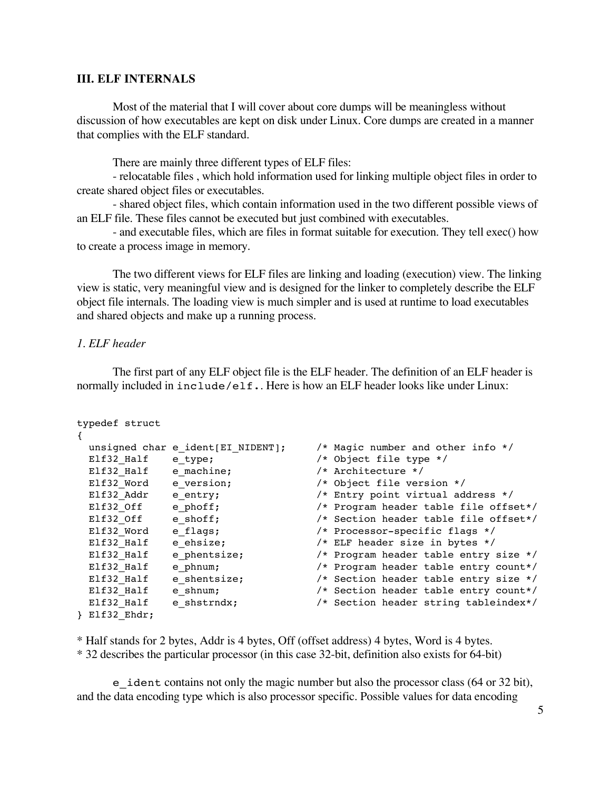## **III. ELF INTERNALS**

Most of the material that I will cover about core dumps will be meaningless without discussion of how executables are kept on disk under Linux. Core dumps are created in a manner that complies with the ELF standard.

There are mainly three different types of ELF files:

- relocatable files , which hold information used for linking multiple object files in order to create shared object files or executables.

- shared object files, which contain information used in the two different possible views of an ELF file. These files cannot be executed but just combined with executables.

- and executable files, which are files in format suitable for execution. They tell exec() how to create a process image in memory.

The two different views for ELF files are linking and loading (execution) view. The linking view is static, very meaningful view and is designed for the linker to completely describe the ELF object file internals. The loading view is much simpler and is used at runtime to load executables and shared objects and make up a running process.

## *1. ELF header*

The first part of any ELF object file is the ELF header. The definition of an ELF header is normally included in include/elf.. Here is how an ELF header looks like under Linux:

```
typedef struct
{
 unsigned char e_ident[EI_NIDENT]; /* Magic number and other info */
 Elf32_Half e_type; /* Object file type */
 Elf32_Half e_machine; /* Architecture */<br>Elf32_Word e_version; /* Object file vers
                                   % Arthreedoms<br>22 /* Object file version */<br>22 Entry point virtual address */<br>22 Entry enterprise table file offse
 Elf32_Addr e_entry; /* Entry point virtual address */
 Elf32_Off e_phoff; /* Program header table file offset*/
 Elf32_Off e_shoff; /* Section header table file offset*/
 Elf32_Word e_flags; /* Processor-specific flags */
 Elf32_Half e_ehsize; /* ELF header size in bytes */
 Elf32_Half e_phentsize; /* Program header table entry size */
 Elf32_Half e_phnum; /* Program header table entry count*/
 Elf32_Half e_shentsize; /* Section header table entry size */
 Elf32_Half e_shnum; /* Section header table entry count*/
 Elf32_Half     e_shstrndx;                   /* Section header string tableindex*/
} Elf32_Ehdr;
```
\* Half stands for 2 bytes, Addr is 4 bytes, Off (offset address) 4 bytes, Word is 4 bytes.

\* 32 describes the particular processor (in this case 32-bit, definition also exists for 64-bit)

e\_ident contains not only the magic number but also the processor class (64 or 32 bit), and the data encoding type which is also processor specific. Possible values for data encoding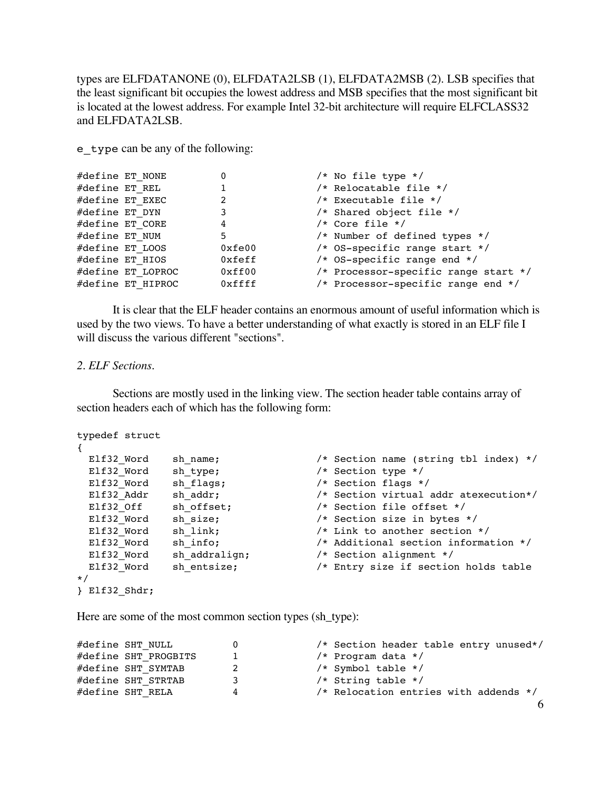types are ELFDATANONE (0), ELFDATA2LSB (1), ELFDATA2MSB (2). LSB specifies that the least significant bit occupies the lowest address and MSB specifies that the most significant bit is located at the lowest address. For example Intel 32-bit architecture will require ELFCLASS32 and ELFDATA2LSB.

e\_type can be any of the following:

| #define ET NONE |                   |        | /* No file type */                   |
|-----------------|-------------------|--------|--------------------------------------|
| #define ET REL  |                   |        | /* Relocatable file */               |
|                 | #define ET EXEC   |        | /* Executable file */                |
| #define ET DYN  |                   |        | $/*$ Shared object file $*/$         |
| #define ET CORE |                   | 4      | $/*$ Core file $*/$                  |
| #define ET NUM  |                   | 5      | $/*$ Number of defined types $*/$    |
| #define ET LOOS |                   | 0xfe00 | /* OS-specific range start */        |
|                 | #define ET HIOS   | 0xfeff | /* OS-specific range end $*/$        |
|                 | #define ET LOPROC | 0xff00 | /* Processor-specific range start */ |
|                 | #define ET HIPROC | 0xffff | /* Processor-specific range end */   |

It is clear that the ELF header contains an enormous amount of useful information which is used by the two views. To have a better understanding of what exactly is stored in an ELF file I will discuss the various different "sections".

#### *2. ELF Sections.*

Sections are mostly used in the linking view. The section header table contains array of section headers each of which has the following form:

```
typedef struct
{
 Elf32_Word sh_name; \frac{1}{2} /* Section name (string tbl index) */
 Elf32_Word sh_type; /* Section type */
 E1f32 Word sh flags;
 Elf32_Addr sh_addr; /* Section virtual addr atexecution*/
 Elf32_Off sh_offset; /* Section file offset */
 Elf32_Word sh_size; /* Section size in bytes */
 Elf32_Word sh_link; /* Link to another section */
 Elf32_Word sh_info; /* Additional section information */
 Elf32_Word sh_addralign; /* Section alignment */
 Elf32_Word sh_entsize; /* Entry size if section holds table
*/
} Elf32_Shdr;
```
Here are some of the most common section types (sh\_type):

```
#define SHT_NULL      0       /* Section header table entry unused*/<br>#define SHT PROGBITS    1       /* Program data */
#define SHT_PROGBITS 1 /* Program data */
#define SHT_SYMTAB 2 /* Symbol table */
#define SHT STRTAB 3 /* String table */
#define SHT_RELA 4 /* Relocation entries with addends */
                                                                      6
```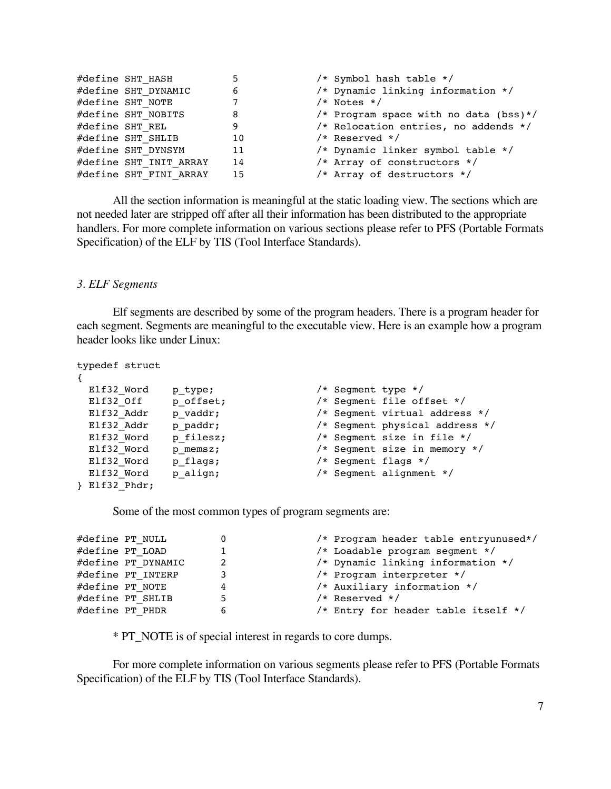| #define SHT HASH       | 5               | /* Symbol hash table */               |
|------------------------|-----------------|---------------------------------------|
| #define SHT DYNAMIC    | 6               | /* Dynamic linking information */     |
| #define SHT NOTE       | $7\overline{ }$ | $/*$ Notes $*/$                       |
| #define SHT NOBITS     | 8               | /* Program space with no data (bss)*/ |
| #define SHT REL        | 9               | /* Relocation entries, no addends */  |
| #define SHT SHLIB      | 10              | $/*$ Reserved $*/$                    |
| #define SHT DYNSYM     | 11              | /* Dynamic linker symbol table */     |
| #define SHT INIT ARRAY | 14              | /* Array of constructors */           |
| #define SHT FINI ARRAY | 15              | /* Array of destructors */            |
|                        |                 |                                       |

All the section information is meaningful at the static loading view. The sections which are not needed later are stripped off after all their information has been distributed to the appropriate handlers. For more complete information on various sections please refer to PFS (Portable Formats Specification) of the ELF by TIS (Tool Interface Standards).

## *3. ELF Segments*

Elf segments are described by some of the program headers. There is a program header for each segment. Segments are meaningful to the executable view. Here is an example how a program header looks like under Linux:

typedef struct

 $\mathbf{r}$ 

| Elf32 Word    | p type;   | /* Segment type */ |                                |
|---------------|-----------|--------------------|--------------------------------|
| Elf32 Off     | p offset; |                    | /* Segment file offset */      |
| Elf32 Addr    | p vaddr;  |                    | /* Segment virtual address */  |
| Elf32 Addr    | p paddr;  |                    | /* Segment physical address */ |
| Elf32 Word    | p filesz; |                    | /* Segment size in file */     |
| Elf32 Word    | p memsz;  |                    | /* Segment size in memory */   |
| Elf32 Word    | p flags;  |                    | $/*$ Seqment flags $*/$        |
| Elf32 Word    | p align;  |                    | /* Seqment alignment */        |
| } Elf32 Phdr; |           |                    |                                |

Some of the most common types of program segments are:

| #define PT NULL    |   | /* Program header table entryunused*/ |
|--------------------|---|---------------------------------------|
| #define PT LOAD    |   | /* Loadable program segment */        |
| #define PT DYNAMIC | 2 | /* Dynamic linking information */     |
| #define PT INTERP  | 3 | /* Program interpreter */             |
| #define PT NOTE    | 4 | /* Auxiliary information */           |
| #define PT SHLIB   | 5 | $/*$ Reserved $*/$                    |
| #define PT PHDR    | 6 | /* Entry for header table itself */   |
|                    |   |                                       |

\* PT\_NOTE is of special interest in regards to core dumps.

For more complete information on various segments please refer to PFS (Portable Formats Specification) of the ELF by TIS (Tool Interface Standards).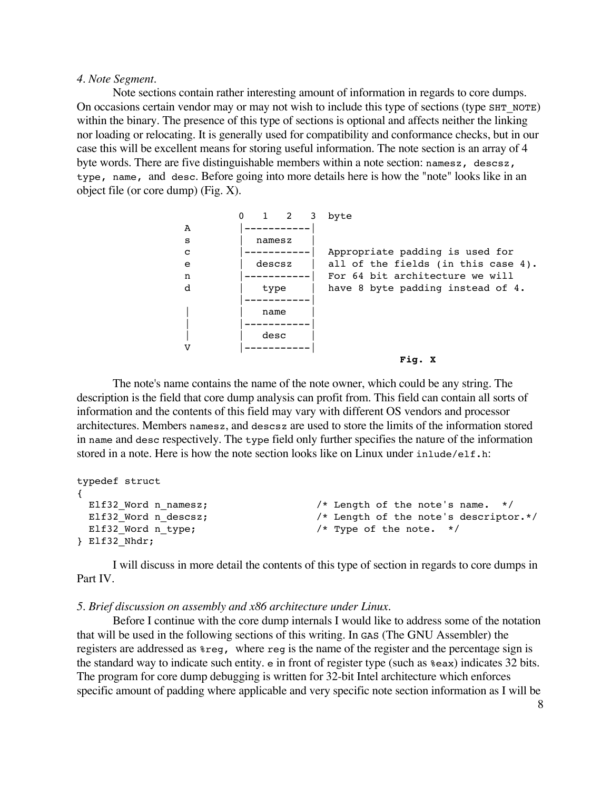## *4. Note Segment.*

Note sections contain rather interesting amount of information in regards to core dumps. On occasions certain vendor may or may not wish to include this type of sections (type SHT\_NOTE) within the binary. The presence of this type of sections is optional and affects neither the linking nor loading or relocating. It is generally used for compatibility and conformance checks, but in our case this will be excellent means for storing useful information. The note section is an array of 4 byte words. There are five distinguishable members within a note section: namesz, descsz, type, name, and desc. Before going into more details here is how the "note" looks like in an object file (or core dump) (Fig. X).

```
0 1 2 3 byte
A |-----------|
s | namesz
c |-----| Appropriate padding is used for
e | descsz | all of the fields (in this case 4).
n |-----------| For 64 bit architecture we will
d | type | have 8 byte padding instead of 4.
       |-----------|
          | | name |
| |-----------|
| | desc |
V |-----------|
                            Fig. X
```
The note's name contains the name of the note owner, which could be any string. The description is the field that core dump analysis can profit from. This field can contain all sorts of information and the contents of this field may vary with different OS vendors and processor architectures. Members namesz, and descsz are used to store the limits of the information stored in name and desc respectively. The type field only further specifies the nature of the information stored in a note. Here is how the note section looks like on Linux under inlude/elf.h:

```
typedef struct
{
 Elf32_Word n_namesz; \overline{\phantom{a}} /* Length of the note's name. */
 Elf32 Word n descsz; \frac{1}{2} /* Length of the note's descriptor.*/
 Elf32 Word n type; \frac{1}{2} /* Type of the note. */
} Elf32_Nhdr;
```
I will discuss in more detail the contents of this type of section in regards to core dumps in Part IV.

## *5. Brief discussion on assembly and x86 architecture under Linux.*

Before I continue with the core dump internals I would like to address some of the notation that will be used in the following sections of this writing. In GAS (The GNU Assembler) the registers are addressed as %reg, where reg is the name of the register and the percentage sign is the standard way to indicate such entity. e in front of register type (such as %eax) indicates 32 bits. The program for core dump debugging is written for 32-bit Intel architecture which enforces specific amount of padding where applicable and very specific note section information as I will be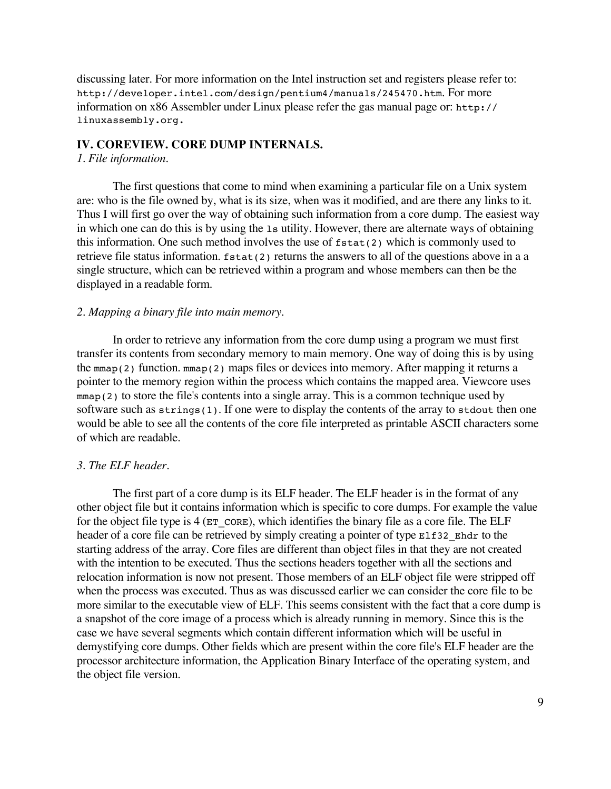discussing later. For more information on the Intel instruction set and registers please refer to: http://developer.intel.com/design/pentium4/manuals/245470.htm. For more information on x86 Assembler under Linux please refer the gas manual page or: http:// linuxassembly.org.

## **IV. COREVIEW. CORE DUMP INTERNALS.**

## *1. File information.*

The first questions that come to mind when examining a particular file on a Unix system are: who is the file owned by, what is its size, when was it modified, and are there any links to it. Thus I will first go over the way of obtaining such information from a core dump. The easiest way in which one can do this is by using the ls utility. However, there are alternate ways of obtaining this information. One such method involves the use of  $fstat(2)$  which is commonly used to retrieve file status information.  $fstat(2)$  returns the answers to all of the questions above in a a single structure, which can be retrieved within a program and whose members can then be the displayed in a readable form.

## *2. Mapping a binary file into main memory.*

In order to retrieve any information from the core dump using a program we must first transfer its contents from secondary memory to main memory. One way of doing this is by using the mmap(2) function. mmap(2) maps files or devices into memory. After mapping it returns a pointer to the memory region within the process which contains the mapped area. Viewcore uses mmap(2) to store the file's contents into a single array. This is a common technique used by software such as strings(1). If one were to display the contents of the array to stdout then one would be able to see all the contents of the core file interpreted as printable ASCII characters some of which are readable.

#### *3. The ELF header.*

The first part of a core dump is its ELF header. The ELF header is in the format of any other object file but it contains information which is specific to core dumps. For example the value for the object file type is  $4$  ( $ET$  CORE), which identifies the binary file as a core file. The ELF header of a core file can be retrieved by simply creating a pointer of type Elf32 Ehdr to the starting address of the array. Core files are different than object files in that they are not created with the intention to be executed. Thus the sections headers together with all the sections and relocation information is now not present. Those members of an ELF object file were stripped off when the process was executed. Thus as was discussed earlier we can consider the core file to be more similar to the executable view of ELF. This seems consistent with the fact that a core dump is a snapshot of the core image of a process which is already running in memory. Since this is the case we have several segments which contain different information which will be useful in demystifying core dumps. Other fields which are present within the core file's ELF header are the processor architecture information, the Application Binary Interface of the operating system, and the object file version.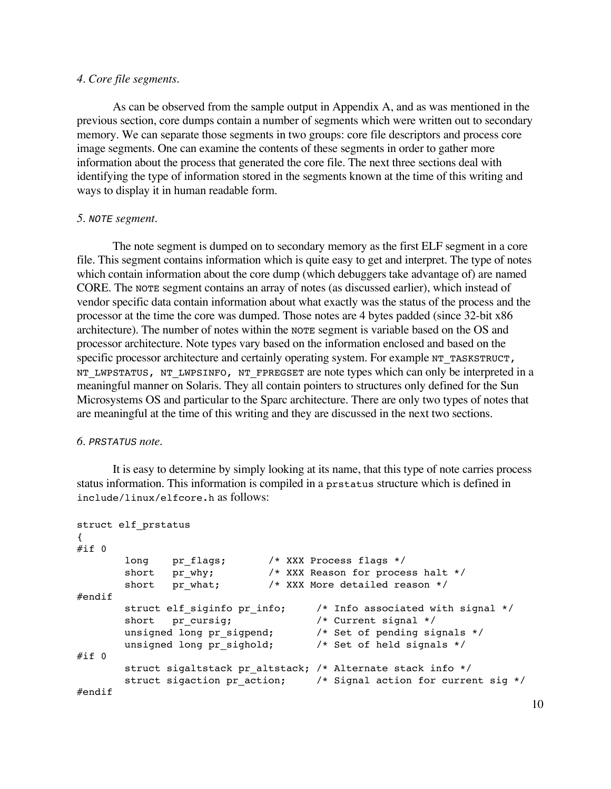# *4. Core file segments.*

As can be observed from the sample output in Appendix A, and as was mentioned in the previous section, core dumps contain a number of segments which were written out to secondary memory. We can separate those segments in two groups: core file descriptors and process core image segments. One can examine the contents of these segments in order to gather more information about the process that generated the core file. The next three sections deal with identifying the type of information stored in the segments known at the time of this writing and ways to display it in human readable form.

## *5.* NOTE *segment.*

The note segment is dumped on to secondary memory as the first ELF segment in a core file. This segment contains information which is quite easy to get and interpret. The type of notes which contain information about the core dump (which debuggers take advantage of) are named CORE. The NOTE segment contains an array of notes (as discussed earlier), which instead of vendor specific data contain information about what exactly was the status of the process and the processor at the time the core was dumped. Those notes are 4 bytes padded (since 32-bit x86 architecture). The number of notes within the NOTE segment is variable based on the OS and processor architecture. Note types vary based on the information enclosed and based on the specific processor architecture and certainly operating system. For example NT\_TASKSTRUCT, NT\_LWPSTATUS, NT\_LWPSINFO, NT\_FPREGSET are note types which can only be interpreted in a meaningful manner on Solaris. They all contain pointers to structures only defined for the Sun Microsystems OS and particular to the Sparc architecture. There are only two types of notes that are meaningful at the time of this writing and they are discussed in the next two sections.

# *6.* PRSTATUS *note.*

It is easy to determine by simply looking at its name, that this type of note carries process status information. This information is compiled in a prstatus structure which is defined in include/linux/elfcore.h as follows:

```
struct elf_prstatus
{
#if 0long pr_flags; /* XXX Process flags */
       short pr why; /* XXX Reason for process halt */
       short pr_what; /* XXX More detailed reason */
#endif
       struct elf_siginfo pr_info; /* Info associated with signal */
       short pr_cursig; /* Current signal */
       unsigned long pr_sigpend; /* Set of pending signals */
       unsigned long pr_sighold; /* Set of held signals */
\# \texttt{if} \;\; 0struct sigaltstack pr_altstack; /* Alternate stack info */
       struct sigaction pr action; /* Signal action for current sig */
#endif
```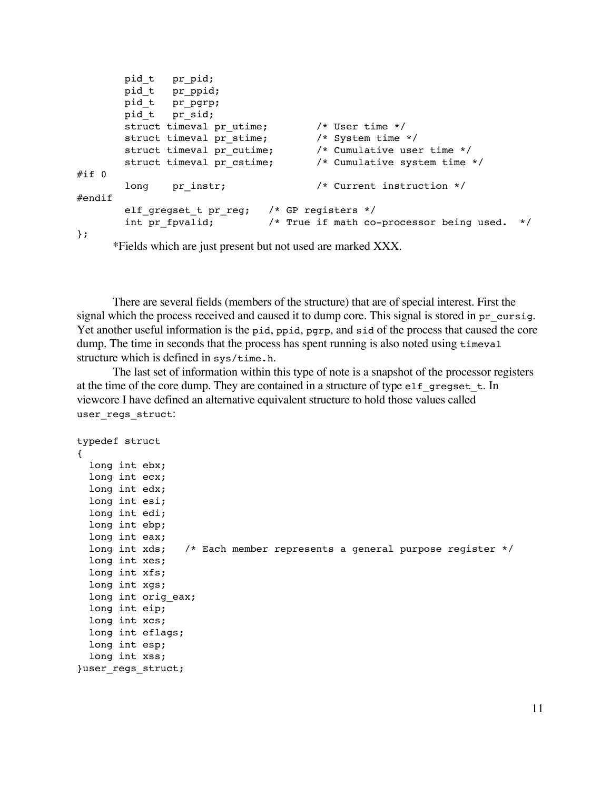```
pid t pr pid;
       pid t pr ppid;
       pid_t pr_pgrp;
      pid t pr sid;
       struct timeval pr utime; /* User time */
       struct timeval pr stime; /* System time */
       struct timeval pr cutime; /* Cumulative user time */
       struct timeval pr cstime; /* Cumulative system time */
#if 0long pr_instr; /* Current instruction */
#endif
       elf qreqset t pr reg; /* GP registers */
       int pr fpvalid; /* True if math co-processor being used. */
```

```
};
```
\*Fields which are just present but not used are marked XXX.

There are several fields (members of the structure) that are of special interest. First the signal which the process received and caused it to dump core. This signal is stored in pr\_cursig. Yet another useful information is the pid, ppid, pgrp, and sid of the process that caused the core dump. The time in seconds that the process has spent running is also noted using timeval structure which is defined in sys/time.h.

The last set of information within this type of note is a snapshot of the processor registers at the time of the core dump. They are contained in a structure of type elf gregset  $t$ . In viewcore I have defined an alternative equivalent structure to hold those values called user\_regs\_struct:

```
typedef struct
{
 long int ebx;
 long int ecx;
 long int edx;
 long int esi;
 long int edi;
 long int ebp;
 long int eax;
 long int xds; /* Each member represents a general purpose register */
 long int xes;
 long int xfs;
 long int xgs;
  long int orig_eax;
  long int eip;
  long int xcs;
 long int eflags;
  long int esp;
  long int xss;
}user_regs_struct;
```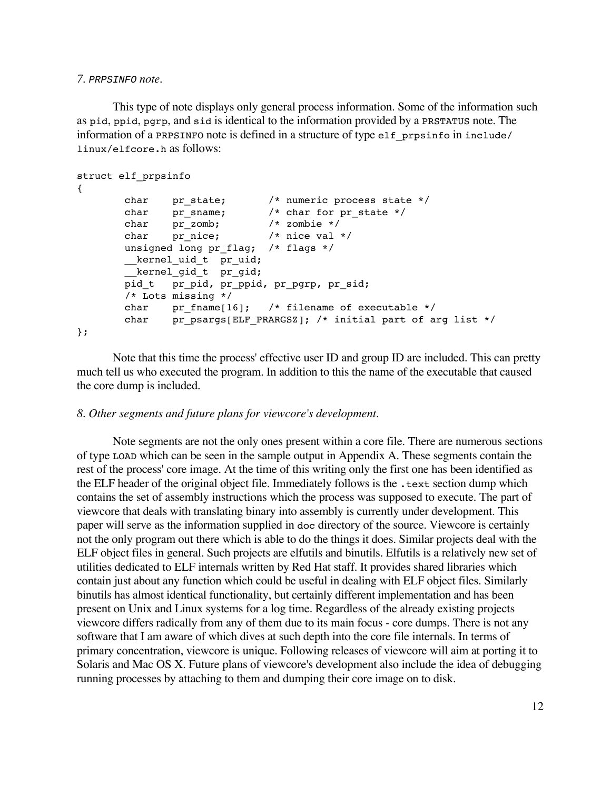#### *7.* PRPSINFO *note.*

This type of note displays only general process information. Some of the information such as pid, ppid, pgrp, and sid is identical to the information provided by a PRSTATUS note. The information of a PRPSINFO note is defined in a structure of type elf\_prpsinfo in include/ linux/elfcore.h as follows:

```
struct elf_prpsinfo
{
       char pr state; /* numeric process state */char pr_sname; /* char for pr_state */
       char pr_zomb; /* zombie */
       char pr_nice; /* nice val */unsigned long pr_flag; /* flags */
       __kernel_uid_t pr uid;
       kernel gid t pr gid;
       pid_t pr_pid, pr_ppid, pr_pgrp, pr_sid;
       /* Lots missing */
       char pr fname[16]; /* filename of executable */
       char pr psargs[ELF_PRARGSZ]; /* initial part of arg list */
};
```
Note that this time the process' effective user ID and group ID are included. This can pretty much tell us who executed the program. In addition to this the name of the executable that caused the core dump is included.

## *8. Other segments and future plans for viewcore's development.*

Note segments are not the only ones present within a core file. There are numerous sections of type LOAD which can be seen in the sample output in Appendix A. These segments contain the rest of the process' core image. At the time of this writing only the first one has been identified as the ELF header of the original object file. Immediately follows is the .text section dump which contains the set of assembly instructions which the process was supposed to execute. The part of viewcore that deals with translating binary into assembly is currently under development. This paper will serve as the information supplied in doc directory of the source. Viewcore is certainly not the only program out there which is able to do the things it does. Similar projects deal with the ELF object files in general. Such projects are elfutils and binutils. Elfutils is a relatively new set of utilities dedicated to ELF internals written by Red Hat staff. It provides shared libraries which contain just about any function which could be useful in dealing with ELF object files. Similarly binutils has almost identical functionality, but certainly different implementation and has been present on Unix and Linux systems for a log time. Regardless of the already existing projects viewcore differs radically from any of them due to its main focus - core dumps. There is not any software that I am aware of which dives at such depth into the core file internals. In terms of primary concentration, viewcore is unique. Following releases of viewcore will aim at porting it to Solaris and Mac OS X. Future plans of viewcore's development also include the idea of debugging running processes by attaching to them and dumping their core image on to disk.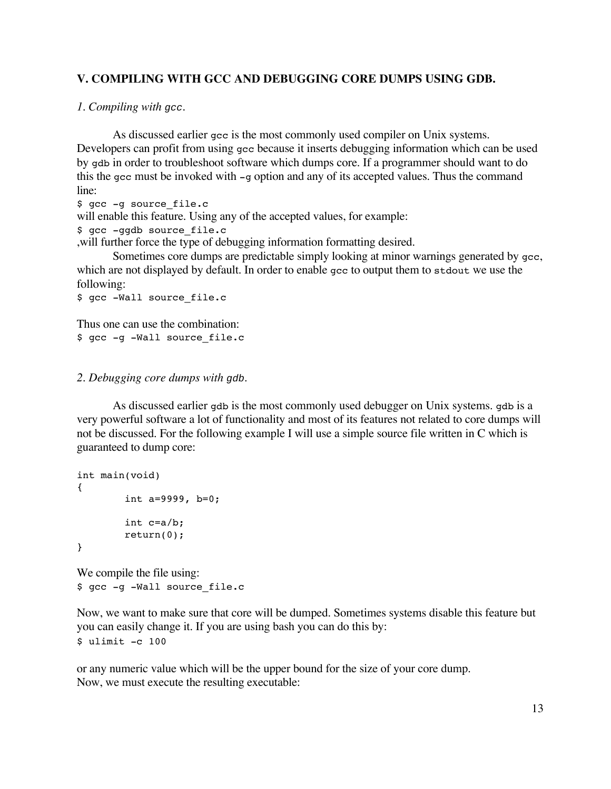# **V. COMPILING WITH GCC AND DEBUGGING CORE DUMPS USING GDB.**

## *1. Compiling with* gcc*.*

As discussed earlier gcc is the most commonly used compiler on Unix systems. Developers can profit from using gcc because it inserts debugging information which can be used by gdb in order to troubleshoot software which dumps core. If a programmer should want to do this the gcc must be invoked with  $-q$  option and any of its accepted values. Thus the command line:

\$ gcc -g source file.c

will enable this feature. Using any of the accepted values, for example:

\$ gcc -ggdb source file.c

,will further force the type of debugging information formatting desired.

Sometimes core dumps are predictable simply looking at minor warnings generated by gcc, which are not displayed by default. In order to enable gcc to output them to stdout we use the following:

```
$ gcc -Wall source_file.c
```
Thus one can use the combination: \$ gcc -g -Wall source file.c

## *2. Debugging core dumps with* gdb*.*

As discussed earlier gdb is the most commonly used debugger on Unix systems. gdb is a very powerful software a lot of functionality and most of its features not related to core dumps will not be discussed. For the following example I will use a simple source file written in C which is guaranteed to dump core:

```
int main(void)
{
        int a=9999, b=0;
        int c=a/b;
        return(0);
}
```
We compile the file using: \$ gcc -g -Wall source file.c

Now, we want to make sure that core will be dumped. Sometimes systems disable this feature but you can easily change it. If you are using bash you can do this by: \$ ulimit -c 100

or any numeric value which will be the upper bound for the size of your core dump. Now, we must execute the resulting executable: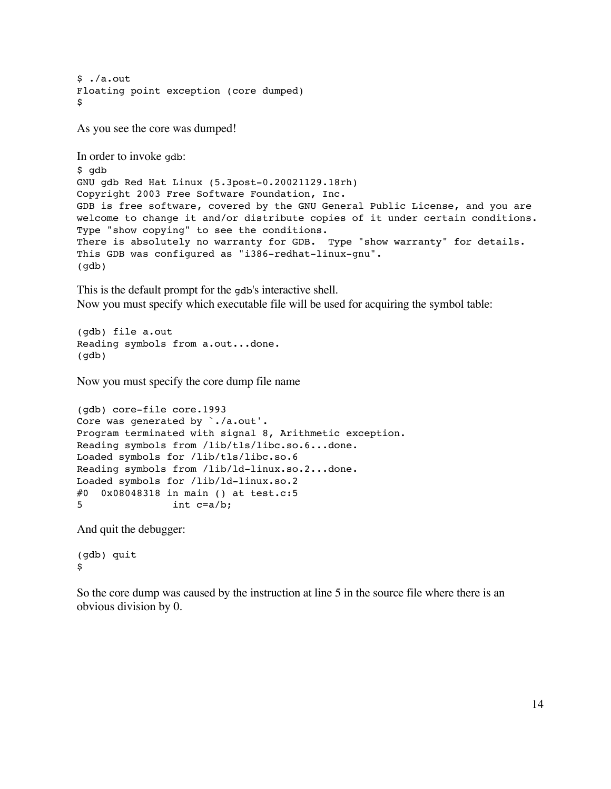$$./a.out$ Floating point exception (core dumped)  $\mathbf{\hat{S}}$ 

As you see the core was dumped!

```
In order to invoke gdb:
$ gdb
GNU gdb Red Hat Linux (5.3post-0.20021129.18rh)
Copyright 2003 Free Software Foundation, Inc.
GDB is free software, covered by the GNU General Public License, and you are
welcome to change it and/or distribute copies of it under certain conditions.
Type "show copying" to see the conditions.
There is absolutely no warranty for GDB. Type "show warranty" for details.
This GDB was configured as "i386-redhat-linux-gnu".
(gdb)
```
This is the default prompt for the gdb's interactive shell. Now you must specify which executable file will be used for acquiring the symbol table:

(gdb) file a.out Reading symbols from a.out...done. (gdb)

Now you must specify the core dump file name

```
(gdb) core-file core.1993
Core was generated by `./a.out'.
Program terminated with signal 8, Arithmetic exception.
Reading symbols from /lib/tls/libc.so.6...done.
Loaded symbols for /lib/tls/libc.so.6
Reading symbols from /lib/ld-linux.so.2...done.
Loaded symbols for /lib/ld-linux.so.2
#0 0x08048318 in main () at test.c:5
5 int c=a/b;
```
And quit the debugger:

(gdb) quit \$

So the core dump was caused by the instruction at line 5 in the source file where there is an obvious division by 0.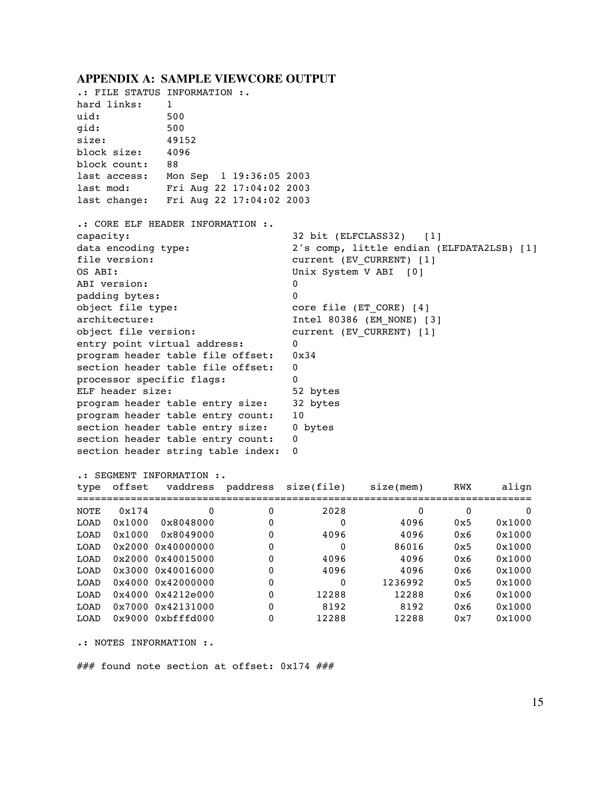#### **APPENDIX A: SAMPLE VIEWCORE OUTPUT**

.: FILE STATUS INFORMATION :. hard links: 1 uid: 500 gid: 500 size: 49152 block size: 4096 block count: 88 last access: Mon Sep 1 19:36:05 2003 last mod: Fri Aug 22 17:04:02 2003 last change: Fri Aug 22 17:04:02 2003 .: CORE ELF HEADER INFORMATION :. capacity: 32 bit (ELFCLASS32) [1] data encoding type: 2's comp, little endian (ELFDATA2LSB) [1] file version:  $\begin{array}{ccc} \text{current} & (\text{EV} & \text{CURRENT}) & [1] \\ \end{array}$ OS ABI: Unix System V ABI [0] ABI version: 0 padding bytes: 0 object file type:  $\qquad \qquad \qquad \qquad \text{core file (ET CORE) [4]}$ architecture: The Intel 80386 (EM\_NONE) [3] object file version: current (EV\_CURRENT) [1] entry point virtual address: 0 program header table file offset: 0x34 section header table file offset: 0 processor specific flags: 0 ELF header size: 52 bytes program header table entry size: 32 bytes program header table entry count: 10 section header table entry size: 0 bytes section header table entry count: 0 section header string table index: 0 .: SEGMENT INFORMATION :. type offset vaddress paddress size(file) size(mem) RWX align ============================================================================  $\begin{array}{cccccccc} \text{NOTE} & 0x174 & 0 & 0 & 2028 & 0 & 0 & 0 \\ \text{LOAD} & 0x1000 & 0x8048000 & 0 & 0 & 4096 & 0x5 & 0x1000 \\ \text{LOAD} & 0x1000 & 0x8049000 & 0 & 4096 & 4096 & 0x6 & 0x1000 \\ \text{LOAD} & 0x2000 & 0x40000000 & 0 & 0 & 86016 & 0x5 & 0x1000 \\ \text{LOAD} & 0x2000 &$ LOAD 0x1000 0x8048000 0 0 4096 0x5 0x1000 LOAD 0x1000 0x8049000 0 4096 4096 0x6 0x1000 LOAD 0x2000 0x40000000 0 0 86016 0x5 0x1000 LOAD 0x2000 0x40015000 0 4096 4096 0x6 0x1000 LOAD 0x3000 0x40016000 0 4096 4096 0x6 0x1000 LOAD 0x4000 0x42000000 0 0 1236992 0x5 0x1000 LOAD 0x4000 0x4212e000 0 12288 12288 0x6 0x1000 LOAD 0x7000 0x42131000 0 8192 8192 0x6 0x1000 LOAD 0x9000 0xbfffd000 0 12288 12288 0x7 0x1000 .: NOTES INFORMATION :.

### found note section at offset: 0x174 ###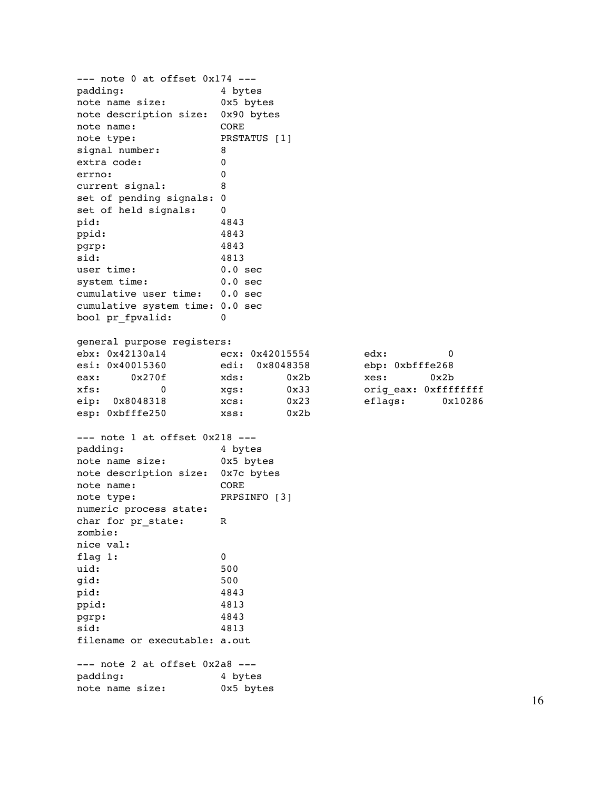--- note 0 at offset 0x174 --padding: 4 bytes note name size: 0x5 bytes note description size: 0x90 bytes note name: CORE note type: PRSTATUS [1] signal number: 8 extra code: 0 errno: 0 current signal: 8 set of pending signals: 0 set of held signals: 0 pid: 4843 ppid: 4843 pgrp: 4843 sid: 4813 user time: 0.0 sec system time: 0.0 sec cumulative user time: 0.0 sec cumulative system time: 0.0 sec bool pr fpvalid: 0 general purpose registers: ebx: 0x42130a14 ecx: 0x42015554 edx: 0 esi: 0x40015360 edi: 0x8048358 ebp: 0xbfffe268 eax: 0x270f xds: 0x2b xes: 0x2b xfs: 0 0 xgs: 0x33 origeax: 0xfffffffff eip: 0x8048318 xcs: 0x23 eflags: 0x10286 esp: 0xbfffe250 xss: 0x2b --- note 1 at offset 0x218 -- padding: 4 bytes note name size: 0x5 bytes note description size: 0x7c bytes note name: CORE note type: PRPSINFO [3] numeric process state: char for pr\_state: R zombie: nice val: flag 1: 0 uid: 500 gid: 500 pid: 4843 ppid: 4813 pgrp: 4843 sid: 4813 filename or executable: a.out --- note 2 at offset 0x2a8 --padding: 4 bytes note name size: 0x5 bytes

16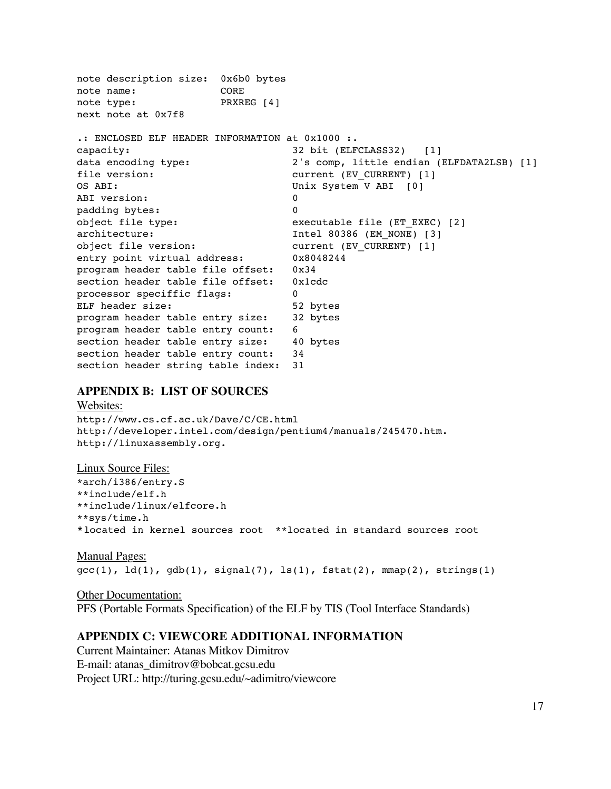note description size: 0x6b0 bytes note name: CORE note type: PRXREG [4] next note at 0x7f8 .: ENCLOSED ELF HEADER INFORMATION at 0x1000 :. capacity: 32 bit (ELFCLASS32) [1] data encoding type: 2's comp, little endian (ELFDATA2LSB) [1] file version:  $\qquad \qquad \qquad \text{current (EV_CURRENT) [1]}$ OS ABI: Unix System V ABI [0] ABI version: 0 padding bytes: 0 object file type:  $executable file (ET EXEC) [2]$ architecture: The Intel 80386 (EM\_NONE) [3] object file version: current (EV CURRENT) [1] entry point virtual address: 0x8048244 program header table file offset: 0x34 section header table file offset: 0x1cdc processor speciffic flags: 0 ELF header size: 52 bytes program header table entry size: 32 bytes program header table entry count: 6 section header table entry size: 40 bytes section header table entry count: 34 section header string table index: 31

## **APPENDIX B: LIST OF SOURCES**

Websites: http://www.cs.cf.ac.uk/Dave/C/CE.html http://developer.intel.com/design/pentium4/manuals/245470.htm. http://linuxassembly.org.

Linux Source Files: \*arch/i386/entry.S \*\*include/elf.h \*\*include/linux/elfcore.h \*\*sys/time.h \*located in kernel sources root \*\*located in standard sources root

Manual Pages:  $\text{gcc}(1)$ ,  $\text{ld}(1)$ ,  $\text{gdb}(1)$ ,  $\text{signal}(7)$ ,  $\text{ls}(1)$ ,  $\text{fstat}(2)$ ,  $\text{mmap}(2)$ ,  $\text{strings}(1)$ 

Other Documentation: PFS (Portable Formats Specification) of the ELF by TIS (Tool Interface Standards)

# **APPENDIX C: VIEWCORE ADDITIONAL INFORMATION**

Current Maintainer: Atanas Mitkov Dimitrov E-mail: atanas\_dimitrov@bobcat.gcsu.edu Project URL: http://turing.gcsu.edu/~adimitro/viewcore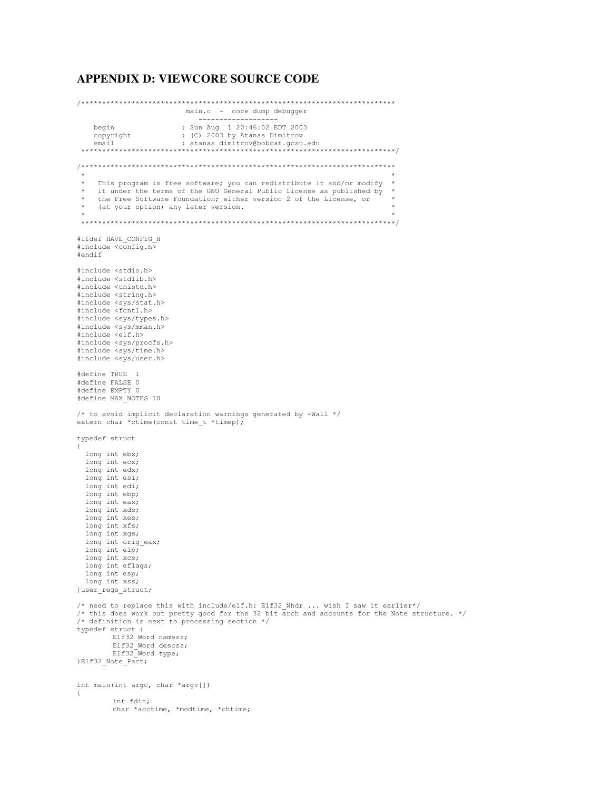## **APPENDIX D: VIEWCORE SOURCE CODE**

/\*\*\*\*\*\*\*\*\*\*\*\*\*\*\*\*\*\*\*\*\*\*\*\*\*\*\*\*\*\*\*\*\*\*\*\*\*\*\*\*\*\*\*\*\*\*\*\*\*\*\*\*\*\*\*\*\*\*\*\*\*\*\*\*\*\*\*\*\*\*\*\*\*\*\* main.c - core dump debugger ------------------ begin : Sun Aug 1 20:46:02 EDT 2003<br>
copyright : (C) 2003 by Atanas Dimitrov copyright : (C) 2003 by Atanas Dimitrov email : atanas\_dimitrov@bobcat.gcsu.edu \*\*\*\*\*\*\*\*\*\*\*\*\*\*\*\*\*\*\*\*\*\*\*\*\*\*\*\*\*\*\*\*\*\*\*\*\*\*\*\*\*\*\*\*\*\*\*\*\*\*\*\*\*\*\*\*\*\*\*\*\*\*\*\*\*\*\*\*\*\*\*\*\*\*\*/ /\*\*\*\*\*\*\*\*\*\*\*\*\*\*\*\*\*\*\*\*\*\*\*\*\*\*\*\*\*\*\*\*\*\*\*\*\*\*\*\*\*\*\*\*\*\*\*\*\*\*\*\*\*\*\*\*\*\*\*\*\*\*\*\*\*\*\*\*\*\*\*\*\*\*\*  $\star$   $\star$ This program is free software; you can redistribute it and/or modify it under the terms of the GNU General Public License as published by the Free Software Foundation; either version 2 of the License, or (at your option) any later version.  $\star$   $\star$ \*\*\*\*\*\*\*\*\*\*\*\*\*\*\*\*\*\*\*\*\*\*\*\*\*\*\*\*\*\*\*\*\*\*\*\*\*\*\*\*\*\*\*\*\*\*\*\*\*\*\*\*\*\*\*\*\*\*\*\*\*\*\*\*\*\*\*\*\*\*\*\*\*\*\*/ #ifdef HAVE\_CONFIG\_H #include <config.h> #endif #include <stdio.h> #include <stdlib.h> #include <unistd.h> #include <string.h> #include <sys/stat.h> #include <fcntl.h> #include <sys/types.h> #include <sys/mman.h> #include <elf.h> #include <sys/procfs.h> #include <sys/time.h> #include <sys/user.h> #define TRUE 1 #define FALSE 0 #define EMPTY 0 #define MAX\_NOTES 10 /\* to avoid implicit declaration warnings generated by -Wall \*/ extern char \*ctime(const time\_t \*timep); typedef struct { long int ebx; long int ecx; long int edx; long int esi; long int edi; long int ebp; long int eax; long int xds; long int xes; long int xfs; long int xgs; long int orig eax; long int eip; long int xcs; long int eflags; long int esp; long int xss; }user\_regs\_struct; /\* need to replace this with include/elf.h: Elf32\_Nhdr ... wish I saw it earlier\*/ /\* this does work out pretty good for the 32 bit arch and accounts for the Note structure. \*/ /\* definition is next to processing section \*/ typedef struct { Elf32\_Word namesz; Elf32\_Word descsz; Elf32 Word type; }Elf32\_Note\_Part; int main(int argc, char \*argv[]) { int fdin; char \*acctime, \*modtime, \*chtime;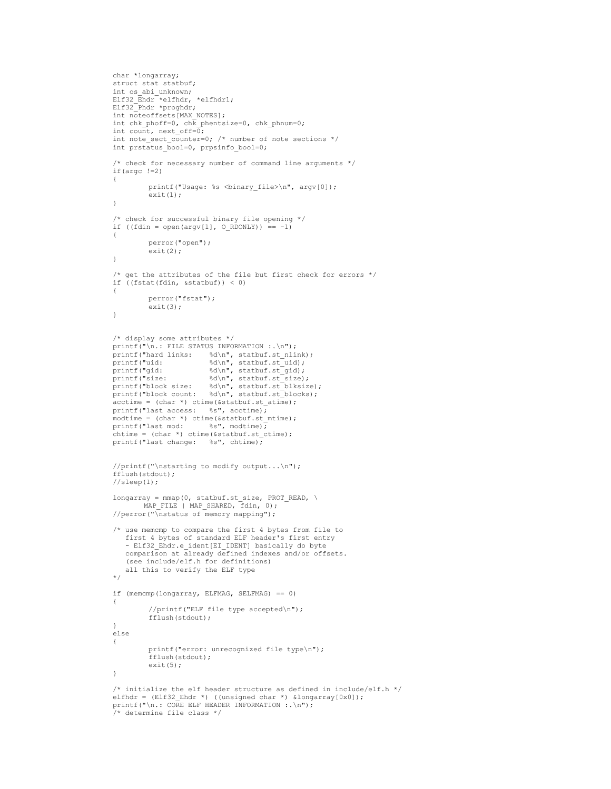```
char *longarray;
struct stat statbuf;
int os_abi_unknown;
Elf32 Ehdr<sup>-*</sup>elfhdr, *elfhdr1;
Elf32_Phdr *proghdr;
int noteoffsets[MAX_NOTES];
int chk phoff=0, chk phentsize=0, chk phnum=0;
int count, next_off=0;int note sect counter=0; /* number of note sections */
int prstatus bool=0, prpsinfo bool=0;
/* check for necessary number of command line arguments */
if(argc !=2)
{
         printf("Usage: %s <binary file>\n", argv[0]);
         ext(1);}
/* check for successful binary file opening */
if ((fdin = open(argv[1], 0_RDONLY)) == -1)
{
         perror("open");
         exit(2);}
/* get the attributes of the file but first check for errors */
if ((fstat(fdin, &statbuf)) < 0)
{
        perror("fstat");
         ext(3):}
/* display some attributes */
printf("\n.: FILE STATUS INFORMATION :.\n");
printf("hard links: %d\n", statbuf.st_nlink);
printf("uid: %d\n", statbuf.st uid);
printf("gid: %d\n", statbuf.st_gid);
printf("size: %d\n", statbuf.st size);
printf("block size: %d\n", statbuf.st blksize);
printf("block count: %d\n", statbuf.st_blocks);
\bar{a} cctime = (char *) ctime(\bar{a}statbuf.st_atime);
printf("last access: %s", acctime);
modtime = (char *) ctime(&statbuf.st_mtime);<br>printf("last mod: %s", modtime);
printf("last mod:
\text{chtime} = (\text{char }*) \text{ctime}(\text{statbuf.stctime});printf("last change: %s", chtime);
//printf("\nstarting to modify output...\n");
fflush(stdout);
//sleep(1);
longarray = mmap(0, statbuf.st\_size, PROT\_READ, \n\MAP_FILE | MAP_SHARED, fdin, 0);
//perror("\bar{N}nstatus of memory mapping");
/* use memcmp to compare the first 4 bytes from file to
   first 4 bytes of standard ELF header's first entry
   - Elf32 Ehdr.e ident[EI IDENT] basically do byte
   comparison at already defined indexes and/or offsets.
   (see include/elf.h for definitions)
   all this to verify the ELF type
*/
if (memcmp(longarray, ELFMAG, SELFMAG) == 0)
{
         //printf("ELF file type accepted\n");
         fflush(stdout);
}
else
{
         printf("error: unrecognized file type\n");
         fflush(stdout);
         exit(5);
}
/* initialize the elf header structure as defined in include/elf.h */
elfhdr = (Elf32 Ehdr *) ((unsigned char *) &longarray[0x0]);
printf("\n.: CORE ELF HEADER INFORMATION :.\n");
/* determine file class */
```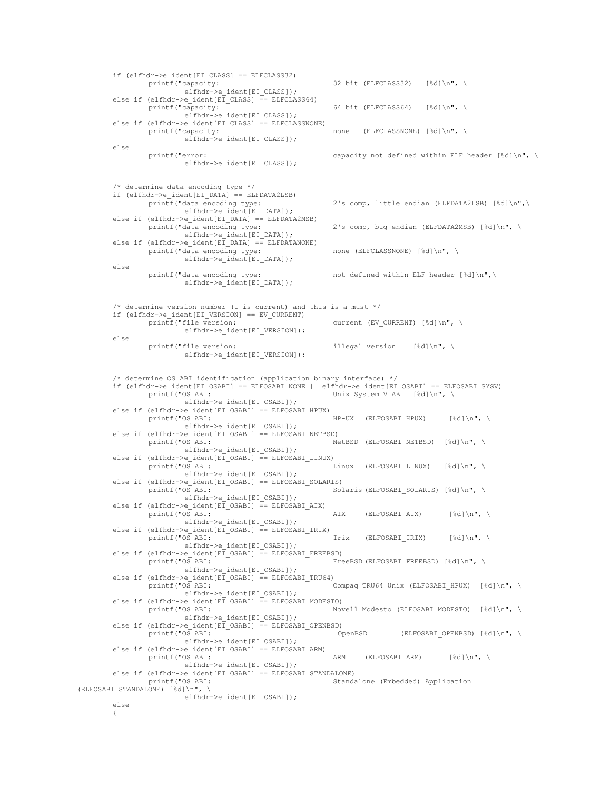$\begin{array}{rcl} \texttt{if (elfhdr->e_ident[EI_CLASS] & == ELFCLASS32)} \\ & & \texttt{printf('capacity:} \end{array}$ 32 bit (ELFCLASS32) [%d]\n", \ elfhdr->e\_ident[EI\_CLASS]); else if (elfhdr->e\_ident[EI\_CLASS] == ELFCLASS64) printf("capacity: 64 bit (ELFCLASS64) [%d]\n", \ elfhdr->e\_ident[EI\_CLASS]); else if  $\text{e}$ lfhdr->e\_ident $\text{E}\overline{L}_\text{CLASS}$ ] == ELFCLASSNONE) printf("capacity: none (ELFCLASSNONE) [%d]\n", \ elfhdr->e\_ident[EI\_CLASS]); else printf("error: capacity not defined within ELF header [%d]\n", \ elfhdr->e\_ident[EI\_CLASS]); /\* determine data encoding type \*/  $\begin{array}{rcl} \texttt{if (elfhdr->e_ident[EI_DATA] == ELFDATA2LSB)} \\ & \texttt{printf('data encoding type:} \end{array}$ 2's comp, little endian (ELFDATA2LSB) [%d]\n",\ elfhdr->e\_ident[EI\_DATA]); else if (elfhdr->e\_ident[EI\_DATA] == ELFDATA2MSB)<br>printf("data encoding type: 2's comp, big endian (ELFDATA2MSB) [%d]\n", \ elfhdr->e\_ident[EI\_DATA]); else if  $\text{ (elfhdr->e_ident[EI_DATA] == ELFDATANONE)}$ printf("data encoding type: none (ELFCLASSNONE) [%d]\n", \ elfhdr->e\_ident[EI\_DATA]); else printf("data encoding type: not defined within ELF header [%d]\n",\ elfhdr->e\_ident[EI\_DATA]);  $/*$  determine version number (1 is current) and this is a must  $*/$ if (elfhdr->e\_ident[EI\_VERSION] == EV\_CURRENT) current (EV\_CURRENT) [%d]\n", \ elfhdr->e\_ident[EI\_VERSION]); else printf("file version:  $i$ llegal version  $\{d\}\n$ ",  $\langle$ elfhdr->e\_ident[EI\_VERSION]); /\* determine OS ABI identification (application binary interface) \*/ if (elfhdr->e\_ident[EI\_OSABI] == ELFOSABI\_NONE || elfhdr->e\_ident[EI\_OSABI] == ELFOSABI\_SYSV)<br>printf("OS ABI: Unix System V ABI [%d]\n", \ Unix System V ABI [%d]\n", \ elfhdr->e\_ident[EI\_OSABI]); else if  $\text{e}$ lfhdr->e\_ident $\text{E}\left[\text{CSABI}\right]$  == ELFOSABI\_HPUX) printf("OS ABI:  $HP-UX$  (ELFOSABI HPUX) [%d]\n", \ elfhdr->e\_ident[EI\_OSABI]); else if (elfhdr->e\_ident[EI\_OSABI] == ELFOSABI\_NETBSD) printf("OS ABI:  $NetBSD$  (ELFOSABI NETBSD) [%d]\n", \ elfhdr->e\_ident[EI\_OSABI]); else if (elfhdr->e\_ident[EI\_OSABI] == ELFOSABI\_LINUX) printf("OS ABI:  $L$ inux (ELFOSABI\_LINUX) [%d]\n", \ elfhdr->e\_ident[EI\_OSABI]); else if (elfhdr->e\_ident[EI\_OSABI] == ELFOSABI\_SOLARIS)<br>printf("OS ABI: Sol Solaris (ELFOSABI SOLARIS) [%d]\n", \ elfhdr->e\_ident[EI\_OSABI]); else if (elfhdr->e\_ident[EI\_OSABI] == ELFOSABI\_AIX) printf("OS ABI:  $\begin{array}{ccc} \texttt{AIX} & \texttt{(ELFOSABI_AIX)} & \texttt{8d}\ \texttt{N}, \ \texttt{N} \end{array}$ elfhdr->e\_ident[EI\_OSABI]); else if (elfhdr->e\_ident[E $\overline{I}$ \_OSABI] == ELFOSABI\_IRIX) printf("OS ABI: Irix (ELFOSABI\_IRIX) [%d]\n", \ elfhdr->e\_ident[EI\_OSABI]); else if  $(elfhdr->e_ident[EI_OSABI] == ELFOSABI_FREEBSD)$ printf("OS ABI:  $\overline{ }$  FreeBSD (ELFOSABI\_FREEBSD) [%d]\n", \ elfhdr->e\_ident[EI\_OSABI]); else if (elfhdr->e\_ident[EI\_OSABI] == ELFOSABI\_TRU64) printf("OS ABI: Compaq TRU64 Unix (ELFOSABI\_HPUX) [%d]\n", \ elfhdr->e\_ident[EI\_OSABI]); else if (elfhdr->e\_ident[E $\overline{I}$ \_OSABI] == ELFOSABI\_MODESTO)<br>printf("OS ABI: Nov Novell Modesto (ELFOSABI\_MODESTO) [%d]\n", \ elfhdr->e\_ident[EI\_OSABI]); else if (elfhdr->e\_ident[EI\_OSABI] == ELFOSABI\_OPENBSD)<br>printf("OS ABI: 0penBSD  $(ELFOSABI_OPENBSD [$ %d]\n", \ elfhdr->e\_ident[EI\_OSABI]); else if  $\text{ (elfhat->e_ident[EI_OSABI] } = \text{ELFOSABI_ARM)}$  printf("OS ABI: ARM (ELFOSABI\_ARM)  $[$  %d]\n", \ elfhdr->e\_ident[EI\_OSABI]); else if (elfhdr->e\_ident[EI\_OSABI]  $=$  ELFOSABI\_STANDALONE) printf("OS ABI: Standa Standalone (Embedded) Application  $(ELFOSABI STANDALONE)$  [%d]\n", elfhdr->e\_ident[EI\_OSABI]); else {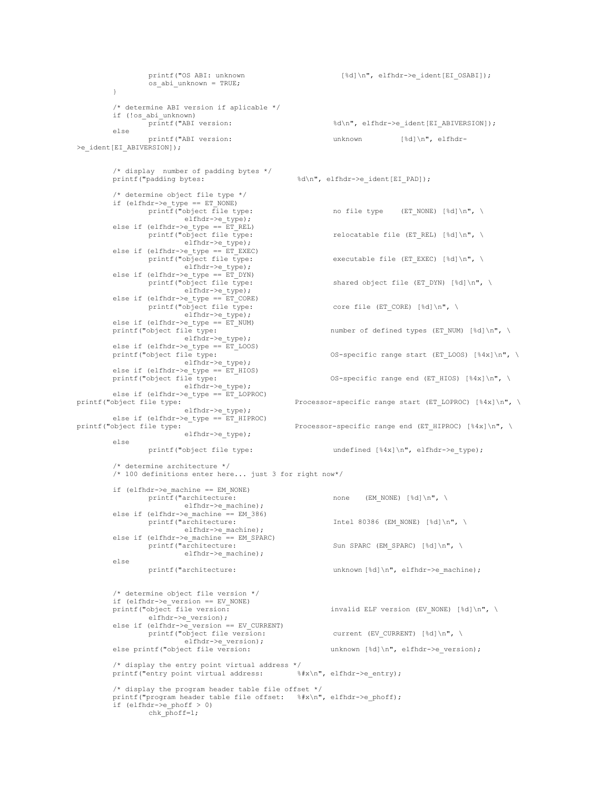printf("OS ABI: unknown [%d]\n", elfhdr->e\_ident[EI\_OSABI]); os\_abi\_unknown = TRUE; } /\* determine ABI version if aplicable \*/ if (!os\_abi\_unknown)<br>printf("ABI version: %d\n", elfhdr->e\_ident[EI\_ABIVERSION]); else printf("ABI version: unknown [%d]\n", elfhdr- >e\_ident[EI\_ABIVERSION]); /\* display number of padding bytes \*/ %d\n", elfhdr->e\_ident[EI\_PAD]); /\* determine object file type \*/ if (elfhdr->e\_type == ET\_NONE)<br>printf("object file type: no file type (ET\_NONE) [%d]\n", \ elfhdr->e\_type); else if (elfhdr->e\_type ==  $ET$ <sub>REL)</sub><br>printf("object file type: relocatable file (ET\_REL) [%d]\n", \ elfhdr->e\_type); else if (elfhdr->e\_type == ET\_EXEC)<br>printf("object file type: executable file (ET\_EXEC) [%d]\n", \ elfhdr->e\_type); else if (elfhdr->e\_type ==  $ET_DYN$ )<br>printf("object file type: shared object file (ET DYN) [%d]\n", \ elfhdr->e\_type); else if (elfhdr->e\_type == ET\_CORE)<br>printf("object file type: core file (ET\_CORE) [%d]\n", \ elfhdr->e\_type); else if (elfhdr->e\_type ==  $ET_NUM$ ) printf("object file type: number of defined types (ET\_NUM) [%d]\n", \ elfhdr->e\_type); else if (elfhdr->e\_type ==  $ET$ \_LOOS)<br>printf("object file type: OS-specific range start (ET LOOS)  $[4x]\n\in, \n\setminus$ elfhdr->e\_type); else if (elfhdr->e\_type ==  $ET_HIOS$ )<br>printf("object file type: OS-specific range end (ET HIOS)  $[$  %4x]\n", \ elfhdr->e\_type); else if (elfhdr->e\_type ==  $ET$ \_LOPROC)<br>printf("object file type: Processor-specific range start (ET\_LOPROC) [%4x]\n", \ elfhdr->e\_type); else if (elfhdr->e\_type ==  $ET$ \_HIPROC)<br>printf("object file type: Processor-specific range end (ET HIPROC)  $[%4x]\n\rightleftharpoons$ elfhdr->e\_type); else printf("object file type: undefined  $[84x]\n$ ", elfhdr->e type); /\* determine architecture \*/ /\* 100 definitions enter here... just 3 for right now\*/ if (elfhdr->e\_machine == EM\_NONE) printf("architecture: none (EM\_NONE) [%d]\n", \ elfhdr->e\_machine); else if (elfhdr->e\_machine ==  $EM_386$ )<br>printf("architecture: Intel 80386 (EM\_NONE) [%d]\n", \ elfhdr->e\_machine); else if (elfhdr->e\_machine == EM\_SPARC)<br>printf("architecture: Sun SPARC (EM SPARC)  $[^{8}d]\n\n\cdot\n\cdot$ elfhdr->e\_machine); else printf("architecture: unknown [%d]\n", elfhdr->e\_machine); /\* determine object file version \*/ if (elfhdr->e\_version == EV\_NONE) invalid ELF version (EV\_NONE) [%d]\n", \ elfhdr->e\_version); else if (elfhdr->e\_version == EV\_CURRENT)<br>printf("object file version: current (EV\_CURRENT) [%d]\n", \ elfhdr->e\_version);<br>else printf("object file version: unknown [%d]\n", elfhdr->e version); /\* display the entry point virtual address \*/<br>printf("entry point virtual address:  $\frac{1}{2}$ ", elfhdr->e entry);  $print(rentry point vitrual address:$ /\* display the program header table file offset \*/ printf("program header table file offset: %#x\n", elfhdr->e\_phoff); if (elfhdr->e phoff > 0) chk  $\overrightarrow{ph}$ off=1;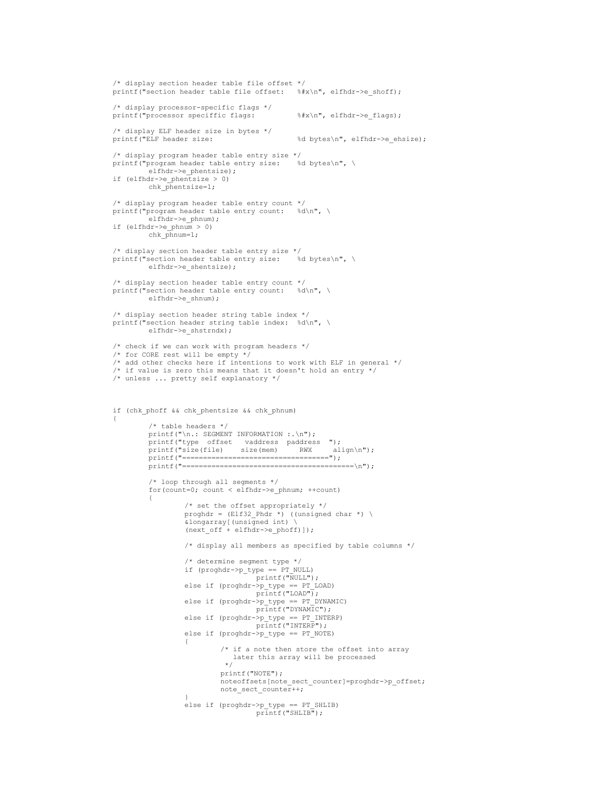```
/* display section header table file offset */
printf("section header table file offset: %#x\n", elfhdr->e_shoff);
/* display processor-specific flags */
printf("processor speciffic flags: \frac{1}{x}\sqrt{x}, elfhdr->e flags);
/* display ELF header size in bytes */<br>printf("ELF header size:
                                             %d bytes\n", elfhdr->e ehsize);
/* display program header table entry size */
\text{print}(\text{"program header table entry size:})elfhdr->e_phentsize);
if (elfhdr->e_phentsize > 0)
        chk \vec{p}hentsize=1;
/* display program header table entry count */
printf("program header table entry count: %d\n", \
        elfhdr->e_phnum);
if (elfhdr->e_phnum > 0)
         chk phnum=1;
/* display section header table entry size */
printf("section header table entry size: %d bytes\n", \
        elfhdr->e_shentsize);
/* display section header table entry count */
printf("section header table entry count: %d\n", \
        elfhdr->e_shnum);
\prime\star display section header string table index \star/printf("section header string table index: %d\n", \
        elfhdr->e_shstrndx);
/* check if we can work with program headers */
/* for CORE rest will be empty */
/* add other checks here if intentions to work with ELF in general */
/* if value is zero this means that it doesn't hold an entry */
/* unless ... pretty self explanatory */
if (chk_phoff && chk_phentsize && chk_phnum)
{
         /* table headers */
        printf("\n.: SEGMENT INFORMATION :.\n");
         printf("type offset vaddress paddress ");
         printf("size(file) size(mem) RWX align\n");
        printf("===================================");
        printf("=========================================\n");
         /* loop through all segments */
         for(count=0; count < elfhdr->e_phnum; ++count)
         {
                  /* set the offset appropriately */
                 proghdr = (ELf32_{phdr} * ) ((unsigned char *) \
                 &longarray[(unsigned int) \
                  (next of f + elfhaty-)e phoff)]);
                  /* display all members as specified by table columns */
                  /* determine segment type */
                  if (proghdr->p_type == PT_NULL)
                                  printf("NULL");
                  else if (proghdr->p_type == PT_LOAD)
                                   printf("LOAD");
                 else if (proghdr->p_type == PT_DYNAMIC)
                                   printf("DYNAMIC");
                 else if (prought - p_t)type == PT_ INTERP)
                                  printf("INTERP");
                 else if (proghdr->p_type == PT_NOTE)
                  {
                          /* if a note then store the offset into array
                             later this array will be processed
                           */
                          printf("NOTE");
                          noteoffsets[note_sect_counter]=proghdr->p_offset;
                          note_sect_counter++;
                  }
                  else if (proghdr->p_type == PT_SHLIB)
                                   printf("SHLIB");
```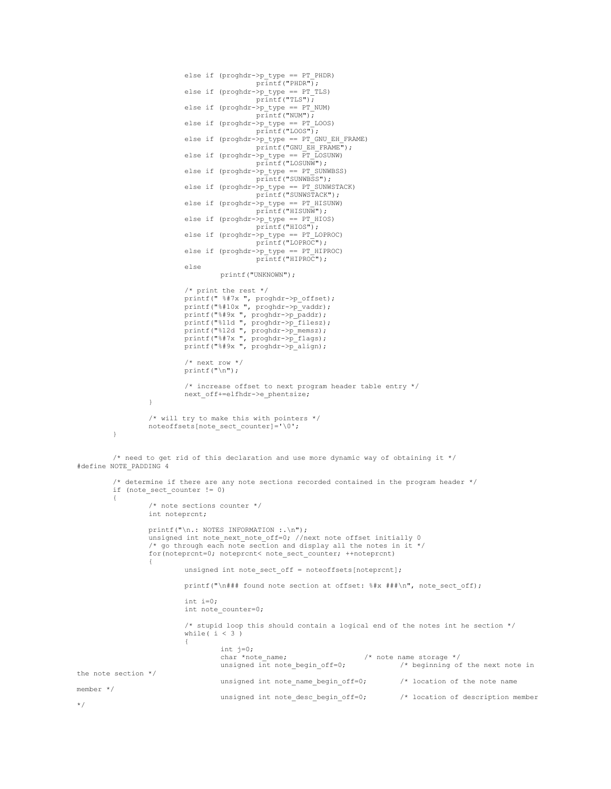```
else if (proghdr->p_type == PT_PHDR)
                                            printf("PHDR");
                           else if (proghdr - p \ntype == PT TLS)printf("TLS");
                           else if (proghdr->p_type == PT_NUM)
                                            printf("NUM");
                           else if (proghdr->p_type == PT_LOOS)
                                            printf("LOOS");
                           else if (proghdr-p type == PT GNU EH_FRAME)
                                            printf("GNU_EH_FRAME");
                           else if (proghdr->p_type == \overline{PT} LOSUNW)
                                            printf("LOSUNW");
                           else if (pr\bar{p} type == PT_SUNWBSS)
                                            printf("SUNWBSS");
                           else if (proghdr - p tvpe == PT SUMWSTACK)printf("SUNWSTACK");
                           else if (proghdr->p_type == PT_HISUNW)
                                            \overline{p}rintf("HISUNW");
                           else if (prought - p_type == PT_HIOS)printf("HIOS");
                           else if (proghdr - p_type == PT_LOPROC)printf("LOPROC");
                           else if (proghdr->p_type == PT_HIPROC)
                                             printf("HIPROC");
                           else
                                   printf("UNKNOWN");
                           /* print the rest */
                           printf(" %#7x ", proghdr->p_offset);
                           printf("%#10x ", proghdr->p_vaddr);
                           printf("%#9x ", proghdr->p_paddr);
                           printf("%11d ", proghdr->p_filesz);
                           printf("%12d ", proghdr->p_memsz);
                           printf("%#7x ", proghdr->p_flags);
                           printf("%#9x ", proghdr->p_align);
                           /* next row */printf("\n");
                           /* increase offset to next program header table entry */
                           next_off+=elfhdr->e_phentsize;
                  }
                  /* will try to make this with pointers */
                 noteoffsets[note_sect_counter]='\0';
         }
         /* need to get rid of this declaration and use more dynamic way of obtaining it */
#define NOTE_PADDING 4
         /* determine if there are any note sections recorded contained in the program header */
         if (note_sect_counter != 0)
         {
                  /* note sections counter */
                 int noteprcnt;
                  printf("\n.: NOTES INFORMATION :.\n");
                  unsigned int note_next_note_off=0; //next note offset initially 0
                  /* go through each note section and display all the notes in it */
                  for(noteprcnt=0; noteprcnt< note_sect_counter; ++noteprcnt)
                  {
                           unsigned int note_sect_off = noteoffsets[noteprcnt];
                           printf("\n### found note section at offset: %#x ###\n", note_sect_off);
                           int i=0;
                           int note_counter=0;
                           /* stupid loop this should contain a logical end of the notes int he section */
                           while (i < 3){
                                    int j=0;<br>char *note_name;
                                    char *note_name; \frac{1}{2} /* note name storage */<br>unsigned int note begin of f=0; \frac{1}{2} /* beginning of
                                                                                \frac{1}{x} beginning of the next note in
the note section */
                                   unsigned int note name begin off=0; / /* location of the note name
member */
                                   unsigned int note desc begin off=0; /* location of description member
*/
```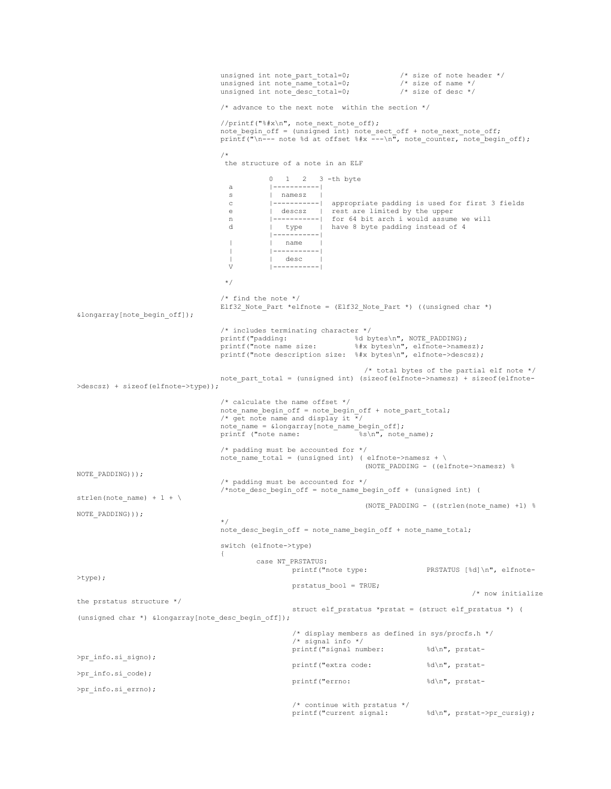```
unsigned int note part total=0; \overline{\phantom{a}} /* size of note header */
                                   unsigned int note_name_total=0; /* size of name */
                                   unsigned int note desc total=0; \overline{\phantom{a}} /* size of desc */
                                   /* advance to the next note within the section *///printf("%#x\n", note next note off);
                                   note_begin_off = (unsigned int) note_sect_off + note_next_note_off;
                                   printf("\n--- note %d at offset %#x ---\n", note counter, note begin off);
                                   /*
                                    the structure of a note in an ELF
                                              0 \t 1 \t 2 \t 3 -th byte
                                     a |-----------|
                                    s | namesz
                                     c |-----------| appropriate padding is used for first 3 fields
                                     e | descsz | rest are limited by the upper
                                    n |----------| for 64 bit arch i would assume we will
                                    d | type | have 8 byte padding instead of 4
                                              |-----------|
                                    | | name |
                                     | |-----------|
                                    | | desc |<br>V |------------
                                              V |-----------|
                                   */
                                   /* find the note */
                                   Elf32_Note_Part *elfnote = (Elf32_Note_Part *) ((unsigned char *)
&longarray[note_begin_off]);
                                   /* includes terminating character */
                                   printf("padding: \text{d} \text{ bytes} \setminus n", NOTE PADDING);
                                   printf("note name size: %#x bytes\n", elfnote->namesz);
                                   printf("note description size: %#x bytes\n", elfnote->descsz);
                                                                     /* total bytes of the partial elf note */
                                  note_part_total = (unsigned int) (sizeof(elfnote->namesz) + sizeof(elfnote-
>descsz) + sizeof(elfnote->type));
                                   /* calculate the name offset */
                                  note name begin off = note begin off + note part total;
                                   /* get note name and display it \overline{x}/
                                   note_name = &longarray[note_name_begin_off];<br>printf ("note name: * * * * note name);
                                  print f ("note name:
                                   /* padding must be accounted for */
                                  note\_name\_total = (unsigned int) ( elfnote->namesz + \
                                                                     (NOTE_PADDING - ((elfnote->namesz) %
NOTE_PADDING)));
                                   /* padding must be accounted for */
                                   /*note_desc_begin_off = note_name_begin_off + (unsigned int) (
strlen(note name) + 1 + \backslash(NOTE PADDING - ((strlen(note name) +1) %NOTE_PADDING)));
                                   */
                                   note_desc_begin_off = note_name_begin_off + note_name_total;
                                   switch (elfnote->type)
                                   {
                                           case NT_PRSTATUS:<br>printf("note type:
                                                                                  print [%d]\n", elfnote-
>type);
                                                    prstatus_bool = TRUE;
                                                                                               /* now initialize
the prstatus structure */
                                                    struct elf_prstatus *prstat = (struct elf_prstatus *) (
(unsigned char *) &longarray[note desc begin off]);
                                                    /* display members as defined in sys/procfs.h */
                                                    /* signal info */
                                                    printf("signal number: %d\n", prstat-
>pr_info.si_signo);
                                                    printf("extra code: %d\n", prstat-
>pr_info.si_code);
                                                    printf("errno: %d\n", prstat-
>pr_info.si_errno);
                                                    /* continue with prstatus */ printf ("current signal:
                                                                                    \delta\n", prstat->pr cursig);
```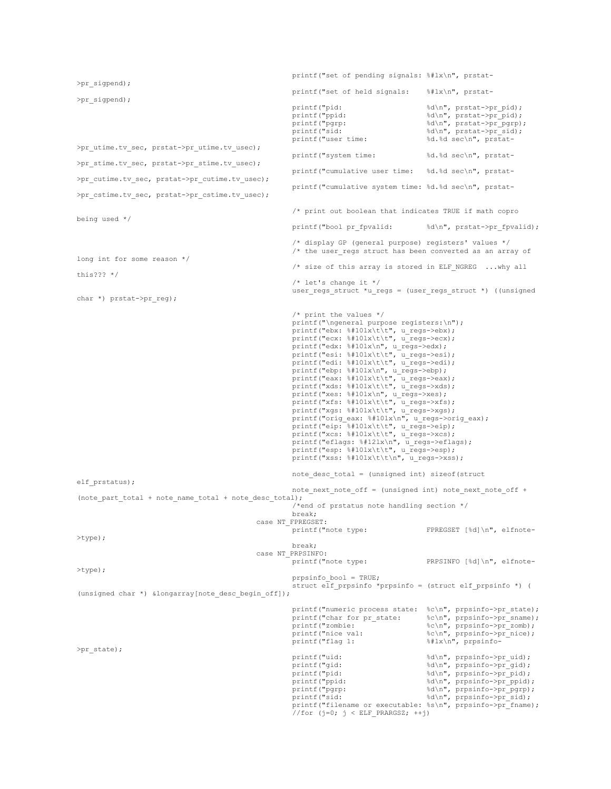printf("set of pending signals: %#lx\n", prstat- >pr\_sigpend); printf("set of held signals: %#lx\n", prstat- >pr\_sigpend); printf("pid:  $d\n\alpha$ ", prstat->pr\_pid); printf("ppid:  $d\n\cdot$   $\ddot{\cdot}$   $\ddot{\cdot}$   $\ddot{\cdot}$   $\ddot{\cdot}$ printf("pgrp: %d\n", prstat->pr\_pgrp);<br>printf("sid: %d\n", prstat->pr sid); printf("sid:  $d\n\frac{d}{n}$ , prstat->pr\_sid); printf("user time: %d.%d sec\n", prstat- >pr\_utime.tv\_sec, prstat->pr\_utime.tv\_usec); printf("system time: %d.%d sec\n", prstat->pr\_stime.tv\_sec, prstat->pr\_stime.tv\_usec); printf("cumulative user time: %d.%d sec\n", prstat- >pr\_cutime.tv\_sec, prstat->pr\_cutime.tv\_usec); printf("cumulative system time: %d.%d sec\n", prstat- >pr\_cstime.tv\_sec, prstat->pr\_cstime.tv\_usec); /\* print out boolean that indicates TRUE if math copro being used \*/ printf("bool pr\_fpvalid: %d\n", prstat->pr\_fpvalid); /\* display GP (general purpose) registers' values \*/ /\* the user\_regs struct has been converted as an array of long int for some reason \*/  $/*$  size of this array is stored in ELF NGREG ...why all this??? \*/  $/*$  let's change it  $*/$ user\_regs\_struct \*u\_regs = (user\_regs\_struct \*) ((unsigned char \*) prstat->pr\_reg); /\* print the values \*/ printf("\ngeneral purpose registers:\n"); printf("ebx: %#10lx\t\t", u\_regs->ebx); printf("ecx: %#10lx\t\t", u\_regs->ecx); printf("edx: %#10lx\n", u\_regs->edx); printf("esi: %#10lx\t\t", u regs->esi); printf("edi: %#10lx\t\t", u\_regs->edi); printf("ebp: %#10lx\n", u\_regs->ebp); printf("eax: %#10lx\t\t", u regs->eax); printf("xds: %#10lx\t\t", u\_regs->xds); printf("xes: %#10lx\n", u\_regs->xes); printf("xfs: %#10lx\t\t", u\_regs->xfs); printf("xgs: %#10lx\t\t", u\_regs->xgs); printf("orig\_eax: %#10lx\n", u\_regs->orig\_eax); printf("eip: %#10lx\t\t", u\_regs->eip); printf("xcs: %#10lx\t\t", u\_regs->xcs); printf("eflags: %#12lx\n", u\_regs->eflags); printf("esp: %#10lx\t\t", u\_regs->esp); printf("xss:  $\frac{1}{2}$  +10lx\t\t\n", u\_regs->xss); note desc total = (unsigned int) sizeof(struct elf prstatus); note\_next\_note\_off = (unsigned int) note\_next\_note\_off + (note part total + note name total + note desc total); /\*end of prstatus note handling section \*/ break; case NT\_FPREGSET: printf("note type: FPREGSET [%d]\n", elfnote- >type); break; case NT\_PRPSINFO: printf("note type: PRPSINFO [%d]\n", elfnote->type); prpsinfo\_bool = TRUE; struct elf\_prpsinfo \*prpsinfo = (struct elf\_prpsinfo \*) ( (unsigned char \*) &longarray[note desc begin off]); printf("numeric process state: %c\n", prpsinfo->pr\_state); printf("char for pr\_state: %c\n", prpsinfo->pr\_sname); printf("zombie: %c\n", prpsinfo->pr\_zomb); printf("nice val:  $\text{C} \setminus \text{C}$  and  $\text{C} \setminus \text{C}$  are  $\text{C} \setminus \text{C}$  and  $\text{C} \setminus \text{C}$  are  $\text{C}$  and  $\text{C} \setminus \text{C}$  are  $\text{C} \setminus \text{C}$  and  $\text{C} \setminus \text{C}$  are  $\text{C} \setminus \text{C}$  and  $\text{C} \setminus \text{C}$  and  $\text{C} \setminus \text{$ printf("flag 1: %#lx\n", prpsinfo- >pr\_state); printf("uid:  $\delta\ln$ ", prpsinfo->pr\_uid);<br>printf("qid:  $\delta\ln$ ", prpsinfo->pr\_qid); printf("gid:  $d\ln$ , prpsinfo->pr\_gid); printf("pid:  $d\nu$ , prpsinfo->pr\_pid); printf("ppid:  $\text{sgn}(\text{mod})$ ; externally printf("ppid:  $\text{sgn}(\text{mod})$ ;  $\text{sgn}(\text{mod})$ ; printf("pyre);  $\text{sgn}(\text{mod})$ ; printf("pyre);  $\text{sgn}(\text{mod})$ ; expansio->pr\_ppid); printf("pgrp:  $\delta d \nightharpoonup \nightharpoonup d$ printf("sid:  $d\nu$ , prpsinfo->pr\_sid); printf("filename or executable: %s\n", prpsinfo->pr\_fname);  $//for (j=0; j < ELF PRARGSZ; ++j)$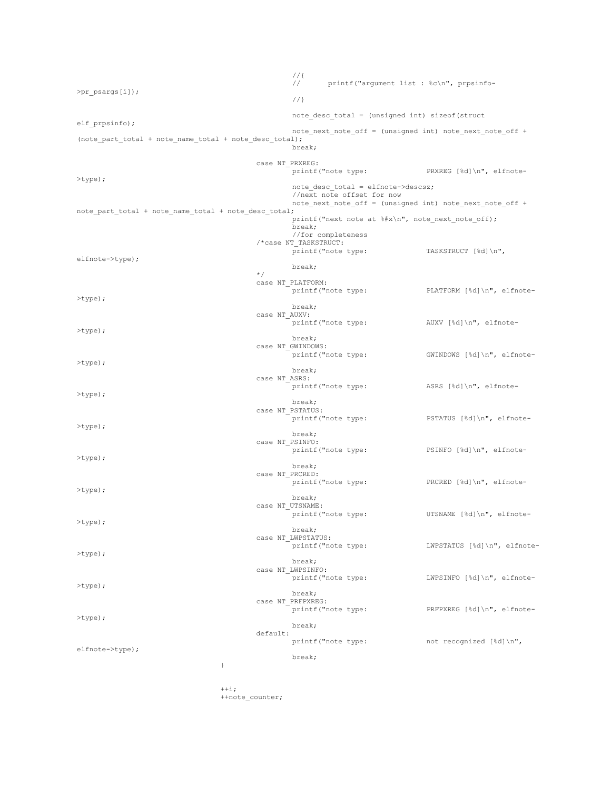//{ printf("argument list : %c\n", prpsinfo->pr\_psargs[i]); //} note desc total = (unsigned int) sizeof(struct elf prpsinfo); note\_next\_note\_off = (unsigned int) note\_next\_note\_off + (note part total + note name total + note desc total); break; case NT\_PRXREG:<br>printf("note type: pRXREG [%d]\n", elfnote->type); note desc total = elfnote->descsz; //next note offset for now note\_next\_note\_off = (unsigned int) note\_next\_note\_off + note part total + note name total + note desc total; printf("next note at  $*\nightharpoonup$ ", note next note off); break; //for completeness /\*case NT\_TASKSTRUCT: printf("note type: TASKSTRUCT [%d]\n", elfnote->type); break; \*/ case NT\_PLATFORM:<br>printf("note type: PLATFORM [%d]\n", elfnote->type); break; case NT\_AUXV:<br>printf("note type: AUXV [%d]\n", elfnote->type); break; case NT\_GWINDOWS:<br>printf("note type: GWINDOWS [%d]\n", elfnote->type); break; case NT\_ASRS:<br>printf("note type: ASRS [%d]\n", elfnote->type); break; case NT\_PSTATUS:<br>printf("note type: pSTATUS [%d]\n", elfnote->type); break; case NT\_PSINFO:<br>printf("note type: PSINFO  $[kd]\n\n"$ , elfnote->type); break; case NT\_PRCRED:<br>printf("note type: PRCRED  $[d]\n\rightleftharpoons d$  elfnote->type); break; case NT\_UTSNAME:<br>printf("note type: UTSNAME [%d]\n", elfnote->type); break; case NT\_LWPSTATUS:<br>printf("note type: LWPSTATUS [%d]\n", elfnote->type); break; case NT\_LWPSINFO: printf("note type: LWPSINFO [%d]\n", elfnote- >type); break; case NT\_PRFPXREG:<br>printf("note type: pRFPXREG [%d]\n", elfnote->type); break; default:<br>printf("note type: not recognized  $[\frac{ad}{n",$ elfnote->type); break; }  $++i;$ 

++note\_counter;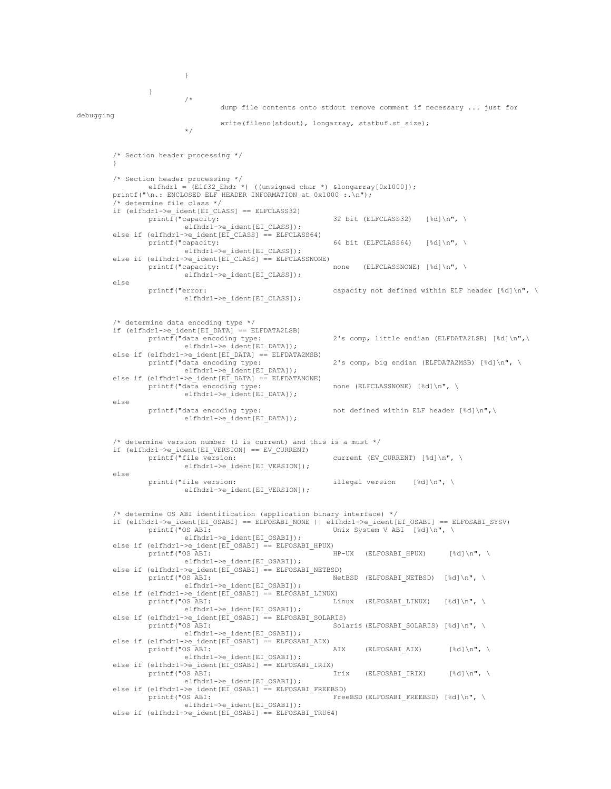} /\* dump file contents onto stdout remove comment if necessary ... just for debugging write(fileno(stdout), longarray, statbuf.st size); \*/ /\* Section header processing \*/ } /\* Section header processing \*/ elfhdr1 = (Elf32 Ehdr \*) ((unsigned char \*) &longarray[0x1000]); printf("\n.: ENCLOSED ELF HEADER INFORMATION at  $0x1000$  :. \n"); /\* determine file class \*/ if (elfhdr1->e\_ident[EI\_CLASS] == ELFCLASS32)  $print(f("capacity:$ 32 bit (ELFCLASS32) [%d]\n", \ elfhdrl->e\_ident[EI\_CLASS]); else if (elfhdr1->e\_ident[EI\_CLASS] == ELFCLASS64)<br>printf("capacity: printf("capacity: 64 bit (ELFCLASS64) [%d]\n", \ elfhdr1->e\_ident[EI\_CLASS]); else if (elfhdr1->e\_ident[EI\_CLASS] == ELFCLASSNONE) printf("capacity:  $\overline{\phantom{a}}$  none (ELFCLASSNONE) [%d]\n", \ elfhdr1->e\_ident[EI\_CLASS]); else printf("error: capacity not defined within ELF header [%d]\n", \ elfhdr1->e\_ident[EI\_CLASS]); /\* determine data encoding type \*/ if  $(elfhdr1->e_ident[EL_DATA] == ELFDATAZLSB)$ <br>printf("data encoding type: 2's comp, little endian (ELFDATA2LSB) [%d]\n",\ elfhdr1->e\_ident[EI\_DATA]); else if (elfhdr1->e\_ident[EI\_DATA] == ELFDATA2MSB) printf("data encoding type: 2's comp, big endian (ELFDATA2MSB) [%d]\n", \ elfhdr1->e\_ident[EI\_DATA]); else if  $(elfhdr1->e_ident[EI_DATA] == ELFDATANONE)$ printf("data encoding type: none (ELFCLASSNONE) [%d]\n", \ elfhdr1->e\_ident[EI\_DATA]); else printf("data encoding type: not defined within ELF header [%d]\n",\ elfhdr1->e\_ident[EI\_DATA]); /\* determine version number (1 is current) and this is a must \*/ if (elfhdr1->e\_ident[EI\_VERSION] == EV\_CURRENT) current (EV CURRENT) [%d] $\n\frac{\cdot}{\cdot}$ elfhdr1->e\_ident[EI\_VERSION]); else printf("file version:  $\qquad \qquad$  illegal version [%d]\n", \ elfhdr1->e\_ident[EI\_VERSION]); /\* determine OS ABI identification (application binary interface) \*/ if (elfhdr1->e\_ident[EI\_OSABI] == ELFOSABI\_NONE || elfhdr1->e\_ident[EI\_OSABI] == ELFOSABI\_SYSV) printf("OS ABI: Unix System V ABI [%d]\n", \ elfhdr1->e\_ident[EI\_OSABI]); else if (elfhdr1->e\_ident[EI\_OSABI] == ELFOSABI\_HPUX) printf("OS ABI: HP-UX (ELFOSABI\_HPUX) [%d]\n", \ elfhdr1->e\_ident[EI\_OSABI]); else if (elfhdr1->e\_ident[EI\_OSABI] == ELFOSABI\_NETBSD)  $print(f''OSABI:$  - NetBSD (ELFOSABI\_NETBSD) [%d]\n", \ elfhdr1->e\_ident[EI\_OSABI]); else if (elfhdr1->e\_ident[EI\_OSABI] == ELFOSABI\_LINUX)  $\text{printf("OS}$  ABI:  $\overline{\phantom{a}}$  Linux (ELFOSABI LINUX) [%d]\n", \ elfhdr1->e\_ident[EI\_OSABI]); else if (elfhdr1->e\_ident[EI\_OSABI] == ELFOSABI\_SOLARIS) printf("OS ABI: SOLA Solaris (ELFOSABI SOLARIS) [%d]\n", \ elfhdr1->e\_ident[EI\_OSABI]); else if  $\text{e}$ lfhdr1->e\_ident[EI\_OSABI] == ELFOSABI\_AIX) printf("OS ABI: AIX (ELFOSABI AIX)  $[8d]\n\cdot\n$ elfhdr1->e\_ident[EI\_OSABI]); else if  $\text{eeff}(\text{m}) = \text{Heff}(\text{m}) = \text{EIFOSABI}$  [RIX]<br>printf("OS ABI: Irix (ELFOSABI IRIX)  $[%d]\n\frac{\n}{\n}$ , \ elfhdr1->e\_ident[EI\_OSABI]); else if (elfhdr1->e\_ident[EI\_OSABI] == ELFOSABI\_FREEBSD) printf("OS ABI: Free FreeBSD (ELFOSABI\_FREEBSD) [%d]\n", \ elfhdr1->e\_ident[EI\_OSABI]); else if (elfhdr1->e ident[EI\_OSABI] == ELFOSABI\_TRU64)

}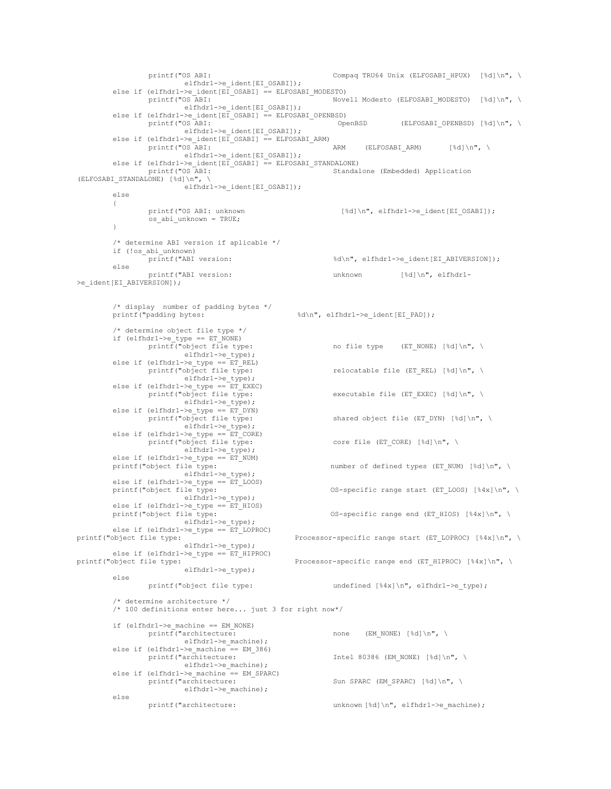printf("OS ABI:  $\text{Compag TRU64 Unix (ELFOSABI HPUX) }$  [%d]\n", \ elfhdr1->e\_ident[EI\_OSABI]); else if (elfhdr1->e\_ident[EI\_OSABI] == ELFOSABI\_MODESTO) printf("OS ABI: Novell Modesto (ELFOSABI MODESTO) [%d]\n", \ elfhdr1->e\_ident[EI\_OSABI]); else if (elfhdr1->e\_ident[EI\_OSABI] == ELFOSABI\_OPENBSD)<br>printf("OS ABI: 0penBSD  $(ELFOSABI$  OPENBSD) [%d]\n", \ elfhdr1->e\_ident[EI\_OSABI]); else if (elfhdr1->e\_ident[EI\_OSABI] == ELFOSABI\_ARM) printf("OS ABI: ARM (ELFOSABI ARM)  $[$  (  $\ddot{\otimes} d$  )  $\ln$  ",  $\ddot{\otimes}$ elfhdr1->e\_ident[EI\_OSABI]); else if  $\text{eeIfndr1->e\_ident}$  [E $\overline{I}$ \_OSABI] == ELFOSABI\_STANDALONE) printf("OS ABI: Standalone (Embedded) Application (ELFOSABI\_STANDALONE) [%d]\n", \ elfhdr1->e\_ident[EI\_OSABI]); else { printf("OS ABI: unknown [%d]\n", elfhdr1->e\_ident[EI\_OSABI]); os\_abi\_unknown = TRUE; } /\* determine ABI version if aplicable \*/ if (!os\_abi\_unknown) %d\n", elfhdr1->e\_ident[EI\_ABIVERSION]); else printf("ABI version:  $\text{unknown}$  [%d]\n", elfhdr1->e\_ident[EI\_ABIVERSION]); /\* display number of padding bytes \*/ printf("padding bytes:  $\text{ad} \in \mathbb{R}$  and  $\text{ad} \in \mathbb{R}$  and  $\text{ad} \in \mathbb{R}$  and  $\text{ad} \in \mathbb{R}$  and  $\text{ad} \in \mathbb{R}$  and  $\text{ad} \in \mathbb{R}$  and  $\text{ad} \in \mathbb{R}$  and  $\text{ad} \in \mathbb{R}$  and  $\text{ad} \in \mathbb{R}$  and  $\text{ad} \in \mathbb{R}$  and /\* determine object file type \*/ if (elfhdr1->e\_type == ET\_NONE)<br>printf("object file type: no file type (ET\_NONE) [%d]\n", \ elfhdr1->e\_type); else if (elfhdr1->e\_type == ET\_REL)<br>printf("object file type: relocatable file (ET\_REL) [%d]\n", \ elfhdr1->e\_type); else if (elfhdr1->e\_type == ET\_EXEC)<br>printf("object file type: executable file (ET\_EXEC) [%d]\n", \ elfhdr1->e\_type); else if (elfhdr1->e\_type ==  $ET_DYN$ )<br>printf("object file type: shared object file (ET DYN) [%d]\n", \ elfhdr1->e\_type); else if (elfhdr1->e\_type == ET\_CORE)<br>printf("object file type: core file (ET\_CORE) [%d]\n", \ elfhdr1->e\_type); else if (elfhdr1->e\_type ==  $ET_NUM$ )<br>printf("object file type: number of defined types (ET\_NUM) [%d]\n", \ elfhdr1->e\_type); else if (elfhdr1->e\_type ==  $ET$ \_LOOS)<br>printf("object file type: OS-specific range start (ET LOOS)  $[4x]\n\rightleftharpoonup, \$ elfhdr1->e\_type); else if (elfhdr1->e\_type ==  $ET_HIOS$ )<br>printf("object file type: OS-specific range end (ET\_HIOS) [%4x]\n", \ elfhdr1->e\_type); else if (elfhdr1->e\_type ==  $ET$ \_LOPROC) printf("object file type: Processor-specific range start (ET\_LOPROC) [%4x]\n", \ elfhdr1->e\_type); else if (elfhdr1->e\_type ==  $ET_HIPROC$ )<br>printf("object file type: Processor-specific range end (ET\_HIPROC) [%4x]\n", \ elfhdr1->e\_type); else printf("object file type: undefined {\ambd{84x}}\n", elfhdr1->e\_type); /\* determine architecture \*/ /\* 100 definitions enter here... just 3 for right now\*/  $\begin{array}{ll} \texttt{if (elfhdrl->e\_machine == EM_NONE)} \\ \texttt{printf("architecture:} \end{array}$ none (EM\_NONE) [%d]\n", \ elfhdr1->e\_machine); else if (elfhdr1->e\_machine ==  $EM_386$ )<br>printf("architecture: Intel 80386 (EM\_NONE) [%d]\n", \ elfhdr1->e\_machine); else if (elfhdr1->e\_machine == EM\_SPARC)<br>printf("architecture: Sun SPARC (EM SPARC) [%d]\n", \ elfhdr1->e\_machine); else printf("architecture: unknown [%d]\n", elfhdr1->e\_machine);